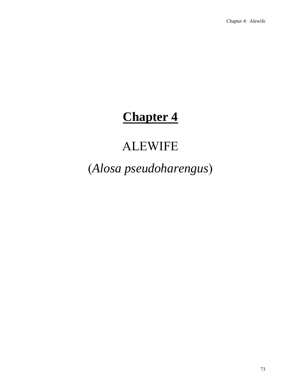# **Chapter 4**

# ALEWIFE

# (*Alosa pseudoharengus*)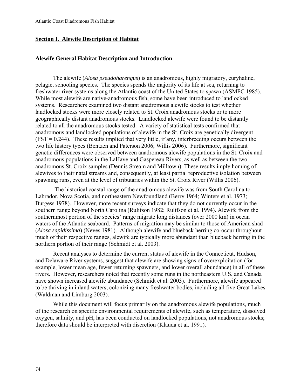# **Section I. Alewife Description of Habitat**

## **Alewife General Habitat Description and Introduction**

The alewife (*Alosa pseudoharengus*) is an anadromous, highly migratory, euryhaline, pelagic, schooling species. The species spends the majority of its life at sea, returning to freshwater river systems along the Atlantic coast of the United States to spawn (ASMFC 1985). While most alewife are native-anadromous fish, some have been introduced to landlocked systems. Researchers examined two distant anadromous alewife stocks to test whether landlocked stocks were more closely related to St. Croix anadromous stocks or to more geographically distant anadromous stocks. Landlocked alewife were found to be distantly related to all the anadromous stocks tested. A variety of statistical tests confirmed that anadromous and landlocked populations of alewife in the St. Croix are genetically divergent  $(FST = 0.244)$ . These results implied that very little, if any, interbreeding occurs between the two life history types (Bentzen and Paterson 2006; Willis 2006). Furthermore, significant genetic differences were observed between anadromous alewife populations in the St. Croix and anadromous populations in the LaHave and Gaspereau Rivers, as well as between the two anadromous St. Croix samples (Dennis Stream and Milltown). These results imply homing of alewives to their natal streams and, consequently, at least partial reproductive isolation between spawning runs, even at the level of tributaries within the St. Croix River (Willis 2006).

 The historical coastal range of the anadromous alewife was from South Carolina to Labrador, Nova Scotia, and northeastern Newfoundland (Berry 1964; Winters et al. 1973; Burgess 1978). However, more recent surveys indicate that they do not currently occur in the southern range beyond North Carolina (Rulifson 1982; Rulifson et al. 1994). Alewife from the southernmost portion of the species' range migrate long distances (over 2000 km) in ocean waters of the Atlantic seaboard. Patterns of migration may be similar to those of American shad (*Alosa sapidissima*) (Neves 1981). Although alewife and blueback herring co-occur throughout much of their respective ranges, alewife are typically more abundant than blueback herring in the northern portion of their range (Schmidt et al. 2003).

Recent analyses to determine the current status of alewife in the Connecticut, Hudson, and Delaware River systems, suggest that alewife are showing signs of overexploitation (for example, lower mean age, fewer returning spawners, and lower overall abundance) in all of these rivers. However, researchers noted that recently some runs in the northeastern U.S. and Canada have shown increased alewife abundance (Schmidt et al. 2003). Furthermore, alewife appeared to be thriving in inland waters, colonizing many freshwater bodies, including all five Great Lakes (Waldman and Limburg 2003).

While this document will focus primarily on the anadromous alewife populations, much of the research on specific environmental requirements of alewife, such as temperature, dissolved oxygen, salinity, and pH, has been conducted on landlocked populations, not anadromous stocks; therefore data should be interpreted with discretion (Klauda et al. 1991).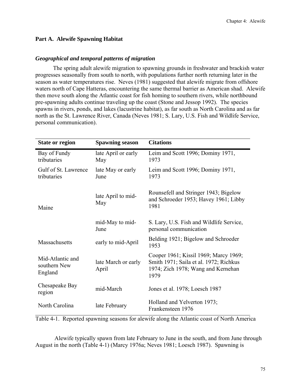# **Part A. Alewife Spawning Habitat**

## *Geographical and temporal patterns of migration*

The spring adult alewife migration to spawning grounds in freshwater and brackish water progresses seasonally from south to north, with populations further north returning later in the season as water temperatures rise. Neves (1981) suggested that alewife migrate from offshore waters north of Cape Hatteras, encountering the same thermal barrier as American shad. Alewife then move south along the Atlantic coast for fish homing to southern rivers, while northbound pre-spawning adults continue traveling up the coast (Stone and Jessop 1992). The species spawns in rivers, ponds, and lakes (lacustrine habitat), as far south as North Carolina and as far north as the St. Lawrence River, Canada (Neves 1981; S. Lary, U.S. Fish and Wildlife Service, personal communication).

| <b>State or region</b>                      | <b>Spawning season</b>       | <b>Citations</b>                                                                                                              |  |
|---------------------------------------------|------------------------------|-------------------------------------------------------------------------------------------------------------------------------|--|
| Bay of Fundy<br>tributaries                 | late April or early<br>May   | Leim and Scott 1996; Dominy 1971,<br>1973                                                                                     |  |
| Gulf of St. Lawrence<br>tributaries         | late May or early<br>June    | Leim and Scott 1996; Dominy 1971,<br>1973                                                                                     |  |
| Maine                                       | late April to mid-<br>May    | Rounsefell and Stringer 1943; Bigelow<br>and Schroeder 1953; Havey 1961; Libby<br>1981                                        |  |
|                                             | mid-May to mid-<br>June      | S. Lary, U.S. Fish and Wildlife Service,<br>personal communication                                                            |  |
| Massachusetts                               | early to mid-April           | Belding 1921; Bigelow and Schroeder<br>1953                                                                                   |  |
| Mid-Atlantic and<br>southern New<br>England | late March or early<br>April | Cooper 1961; Kissil 1969; Marcy 1969;<br>Smith 1971; Saila et al. 1972; Richkus<br>1974; Zich 1978; Wang and Kernehan<br>1979 |  |
| Chesapeake Bay<br>region                    | mid-March                    | Jones et al. 1978; Loesch 1987                                                                                                |  |
| North Carolina                              | late February                | Holland and Yelverton 1973;<br>Frankensteen 1976                                                                              |  |

Table 4-1. Reported spawning seasons for alewife along the Atlantic coast of North America

 Alewife typically spawn from late February to June in the south, and from June through August in the north (Table 4-1) (Marcy 1976a; Neves 1981; Loesch 1987). Spawning is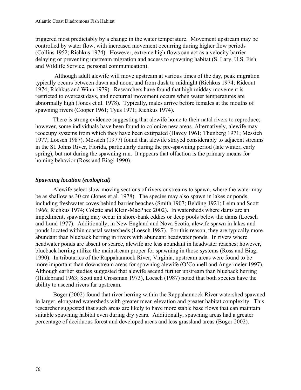triggered most predictably by a change in the water temperature. Movement upstream may be controlled by water flow, with increased movement occurring during higher flow periods (Collins 1952; Richkus 1974). However, extreme high flows can act as a velocity barrier delaying or preventing upstream migration and access to spawning habitat (S. Lary, U.S. Fish and Wildlife Service, personal communication).

 Although adult alewife will move upstream at various times of the day, peak migration typically occurs between dawn and noon, and from dusk to midnight (Richkus 1974; Rideout 1974; Richkus and Winn 1979). Researchers have found that high midday movement is restricted to overcast days, and nocturnal movement occurs when water temperatures are abnormally high (Jones et al. 1978). Typically, males arrive before females at the mouths of spawning rivers (Cooper 1961; Tyus 1971; Richkus 1974).

There is strong evidence suggesting that alewife home to their natal rivers to reproduce; however, some individuals have been found to colonize new areas. Alternatively, alewife may reoccupy systems from which they have been extirpated (Havey 1961; Thunberg 1971; Messieh 1977; Loesch 1987). Messieh (1977) found that alewife strayed considerably to adjacent streams in the St. Johns River, Florida, particularly during the pre-spawning period (late winter, early spring), but not during the spawning run. It appears that olfaction is the primary means for homing behavior (Ross and Biagi 1990).

# *Spawning location (ecological)*

Alewife select slow-moving sections of rivers or streams to spawn, where the water may be as shallow as 30 cm (Jones et al. 1978). The species may also spawn in lakes or ponds, including freshwater coves behind barrier beaches (Smith 1907; Belding 1921; Leim and Scott 1966; Richkus 1974; Colette and Klein-MacPhee 2002). In watersheds where dams are an impediment, spawning may occur in shore-bank eddies or deep pools below the dams (Loesch and Lund 1977). Additionally, in New England and Nova Scotia, alewife spawn in lakes and ponds located within coastal watersheds (Loesch 1987). For this reason, they are typically more abundant than blueback herring in rivers with abundant headwater ponds. In rivers where headwater ponds are absent or scarce, alewife are less abundant in headwater reaches; however, blueback herring utilize the mainstream proper for spawning in those systems (Ross and Biagi 1990). In tributaries of the Rappahannock River, Virginia, upstream areas were found to be more important than downstream areas for spawning alewife (O'Connell and Angermeier 1997). Although earlier studies suggested that alewife ascend further upstream than blueback herring (Hildebrand 1963; Scott and Crossman 1973), Loesch (1987) noted that both species have the ability to ascend rivers far upstream.

Boger (2002) found that river herring within the Rappahannock River watershed spawned in larger, elongated watersheds with greater mean elevation and greater habitat complexity. This researcher suggested that such areas are likely to have more stable base flows that can maintain suitable spawning habitat even during dry years. Additionally, spawning areas had a greater percentage of deciduous forest and developed areas and less grassland areas (Boger 2002).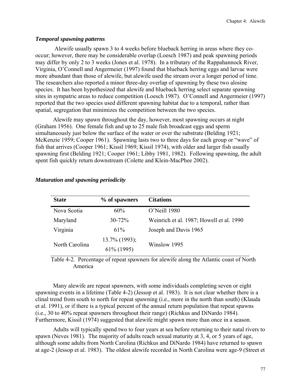# *Temporal spawning patterns*

 Alewife usually spawn 3 to 4 weeks before blueback herring in areas where they cooccur; however, there may be considerable overlap (Loesch 1987) and peak spawning periods may differ by only 2 to 3 weeks (Jones et al. 1978). In a tributary of the Rappahannock River, Virginia, O'Connell and Angermeier (1997) found that blueback herring eggs and larvae were more abundant than those of alewife, but alewife used the stream over a longer period of time. The researchers also reported a minor three-day overlap of spawning by these two alosine species. It has been hypothesized that alewife and blueback herring select separate spawning sites in sympatric areas to reduce competition (Loesch 1987). O'Connell and Angermeier (1997) reported that the two species used different spawning habitat due to a temporal, rather than spatial, segregation that minimizes the competition between the two species.

Alewife may spawn throughout the day, however, most spawning occurs at night (Graham 1956). One female fish and up to 25 male fish broadcast eggs and sperm simultaneously just below the surface of the water or over the substrate (Belding 1921; McKenzie 1959; Cooper 1961). Spawning lasts two to three days for each group or "wave" of fish that arrives (Cooper 1961; Kissil 1969; Kissil 1974), with older and larger fish usually spawning first (Belding 1921; Cooper 1961; Libby 1981, 1982). Following spawning, the adult spent fish quickly return downstream (Colette and Klein-MacPhee 2002).

| <b>State</b>   | % of spawners                     | <b>Citations</b>                         |  |
|----------------|-----------------------------------|------------------------------------------|--|
| Nova Scotia    | 60%                               | O'Neill 1980                             |  |
| Maryland       | $30 - 72%$                        | Weinrich et al. 1987; Howell et al. 1990 |  |
| Virginia       | 61%                               | Joseph and Davis 1965                    |  |
| North Carolina | $13.7\%$ (1993);<br>$61\%$ (1995) | Winslow 1995                             |  |

# *Maturation and spawning periodicity*

Table 4-2. Percentage of repeat spawners for alewife along the Atlantic coast of North America

Many alewife are repeat spawners, with some individuals completing seven or eight spawning events in a lifetime (Table 4-2) (Jessop et al. 1983). It is not clear whether there is a clinal trend from south to north for repeat spawning (i.e., more in the north than south) (Klauda et al. 1991), or if there is a typical percent of the annual return population that repeat spawns (i.e., 30 to 40% repeat spawners throughout their range) (Richkus and DiNardo 1984). Furthermore, Kissil (1974) suggested that alewife might spawn more than once in a season.

Adults will typically spend two to four years at sea before returning to their natal rivers to spawn (Neves 1981). The majority of adults reach sexual maturity at 3, 4, or 5 years of age, although some adults from North Carolina (Richkus and DiNardo 1984) have returned to spawn at age-2 (Jessop et al. 1983). The oldest alewife recorded in North Carolina were age-9 (Street et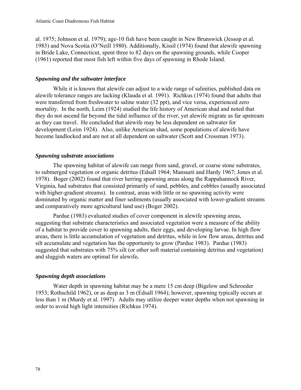al. 1975; Johnson et al. 1979); age-10 fish have been caught in New Brunswick (Jessop et al. 1983) and Nova Scotia (O'Neill 1980). Additionally, Kissil (1974) found that alewife spawning in Bride Lake, Connecticut, spent three to 82 days on the spawning grounds, while Cooper (1961) reported that most fish left within five days of spawning in Rhode Island.

# *Spawning and the saltwater interface*

While it is known that alewife can adjust to a wide range of salinities, published data on alewife tolerance ranges are lacking (Klauda et al. 1991). Richkus (1974) found that adults that were transferred from freshwater to saline water (32 ppt), and vice versa, experienced zero mortality. In the north, Leim (1924) studied the life history of American shad and noted that they do not ascend far beyond the tidal influence of the river, yet alewife migrate as far upstream as they can travel. He concluded that alewife may be less dependent on saltwater for development (Leim 1924). Also, unlike American shad, some populations of alewife have become landlocked and are not at all dependent on saltwater (Scott and Crossman 1973).

# *Spawning substrate associations*

The spawning habitat of alewife can range from sand, gravel, or coarse stone substrates, to submerged vegetation or organic detritus (Edsall 1964; Mansueti and Hardy 1967; Jones et al. 1978). Boger (2002) found that river herring spawning areas along the Rappahannock River, Virginia, had substrates that consisted primarily of sand, pebbles, and cobbles (usually associated with higher-gradient streams). In contrast, areas with little or no spawning activity were dominated by organic matter and finer sediments (usually associated with lower-gradient streams and comparatively more agricultural land use) (Boger 2002).

Pardue (1983) evaluated studies of cover component in alewife spawning areas, suggesting that substrate characteristics and associated vegetation were a measure of the ability of a habitat to provide cover to spawning adults, their eggs, and developing larvae. In high flow areas, there is little accumulation of vegetation and detritus, while in low flow areas, detritus and silt accumulate and vegetation has the opportunity to grow (Pardue 1983). Pardue (1983) suggested that substrates with 75% silt (or other soft material containing detritus and vegetation) and sluggish waters are optimal for alewife**.** 

# *Spawning depth associations*

Water depth in spawning habitat may be a mere 15 cm deep (Bigelow and Schroeder 1953; Rothschild 1962), or as deep as 3 m (Edsall 1964); however, spawning typically occurs at less than 1 m (Murdy et al. 1997). Adults may utilize deeper water depths when not spawning in order to avoid high light intensities (Richkus 1974).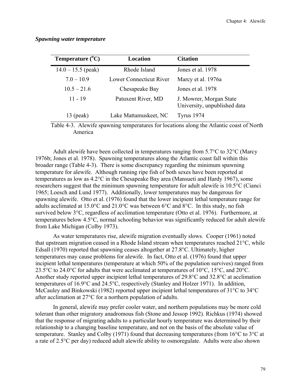| Temperature $(^{\circ}C)$ | <b>Location</b>                | <b>Citation</b>                                         |
|---------------------------|--------------------------------|---------------------------------------------------------|
| $14.0 - 15.5$ (peak)      | Rhode Island                   | Jones et al. 1978                                       |
| $7.0 - 10.9$              | <b>Lower Connecticut River</b> | Marcy et al. 1976a                                      |
| $10.5 - 21.6$             | Chesapeake Bay                 | Jones et al. 1978                                       |
| 11 - 19                   | Patuxent River, MD             | J. Mowrer, Morgan State<br>University, unpublished data |
| $13$ (peak)               | Lake Mattamuskeet, NC          | <b>Tyrus 1974</b>                                       |

*Spawning water temperature* 

Table 4-3. Alewife spawning temperatures for locations along the Atlantic coast of North America

Adult alewife have been collected in temperatures ranging from 5.7°C to 32°C (Marcy 1976b; Jones et al. 1978). Spawning temperatures along the Atlantic coast fall within this broader range (Table 4-3). There is some discrepancy regarding the minimum spawning temperature for alewife. Although running ripe fish of both sexes have been reported at temperatures as low as 4.2°C in the Chesapeake Bay area (Mansueti and Hardy 1967), some researchers suggest that the minimum spawning temperature for adult alewife is 10.5°C (Cianci 1965; Loesch and Lund 1977). Additionally, lower temperatures may be dangerous for spawning alewife. Otto et al. (1976) found that the lower incipient lethal temperature range for adults acclimated at 15.0°C and 21.0°C was between 6°C and 8°C. In this study, no fish survived below 3°C, regardless of acclimation temperature (Otto et al. 1976). Furthermore, at temperatures below 4.5°C, normal schooling behavior was significantly reduced for adult alewife from Lake Michigan (Colby 1973).

As water temperatures rise, alewife migration eventually slows. Cooper (1961) noted that upstream migration ceased in a Rhode Island stream when temperatures reached 21°C, while Edsall (1970) reported that spawning ceases altogether at 27.8°C. Ultimately, higher temperatures may cause problems for alewife. In fact, Otto et al. (1976) found that upper incipient lethal temperatures (temperature at which 50% of the population survives) ranged from 23.5°C to 24.0°C for adults that were acclimated at temperatures of 10°C, 15°C, and 20°C. Another study reported upper incipient lethal temperatures of 29.8°C and 32.8°C at acclimation temperatures of 16.9°C and 24.5°C, respectively (Stanley and Holzer 1971). In addition, McCauley and Binkowski (1982) reported upper incipient lethal temperatures of 31°C to 34°C after acclimation at 27°C for a northern population of adults.

In general, alewife may prefer cooler water, and northern populations may be more cold tolerant than other migratory anadromous fish (Stone and Jessop 1992). Richkus (1974) showed that the response of migrating adults to a particular hourly temperature was determined by their relationship to a changing baseline temperature, and not on the basis of the absolute value of temperature. Stanley and Colby (1971) found that decreasing temperatures (from 16°C to 3°C at a rate of 2.5°C per day) reduced adult alewife ability to osmoregulate. Adults were also shown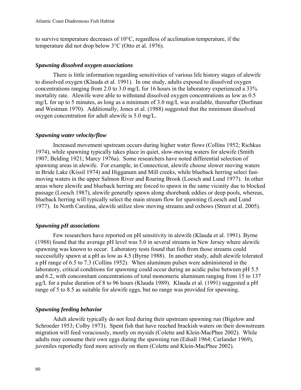to survive temperature decreases of 10°C, regardless of acclimation temperature, if the temperature did not drop below 3°C (Otto et al. 1976).

## *Spawning dissolved oxygen associations*

There is little information regarding sensitivities of various life history stages of alewife to dissolved oxygen (Klauda et al. 1991). In one study, adults exposed to dissolved oxygen concentrations ranging from 2.0 to 3.0 mg/L for 16 hours in the laboratory experienced a 33% mortality rate. Alewife were able to withstand dissolved oxygen concentrations as low as 0.5 mg/L for up to 5 minutes, as long as a minimum of 3.0 mg/L was available, thereafter (Dorfman and Westman 1970). Additionally, Jones et al. (1988) suggested that the minimum dissolved oxygen concentration for adult alewife is 5.0 mg/L.

#### *Spawning water velocity/flow*

Increased movement upstream occurs during higher water flows (Collins 1952; Richkus 1974), while spawning typically takes place in quiet, slow-moving waters for alewife (Smith 1907; Belding 1921; Marcy 1976a). Some researchers have noted differential selection of spawning areas in alewife. For example, in Connecticut, alewife choose slower moving waters in Bride Lake (Kissil 1974) and Higganum and Mill creeks, while blueback herring select fastmoving waters in the upper Salmon River and Roaring Brook (Loesch and Lund 1977). In other areas where alewife and blueback herring are forced to spawn in the same vicinity due to blocked passage (Loesch 1987), alewife generally spawn along shorebank eddies or deep pools, whereas, blueback herring will typically select the main stream flow for spawning (Loesch and Lund 1977). In North Carolina, alewife utilize slow moving streams and oxbows (Street et al. 2005).

## *Spawning pH associations*

Few researchers have reported on pH sensitivity in alewife (Klauda et al. 1991). Byrne (1988) found that the average pH level was 5.0 in several streams in New Jersey where alewife spawning was known to occur. Laboratory tests found that fish from those streams could successfully spawn at a pH as low as 4.5 (Byrne 1988). In another study, adult alewife tolerated a pH range of 6.5 to 7.3 (Collins 1952). When aluminum pulses were administered in the laboratory, critical conditions for spawning could occur during an acidic pulse between pH 5.5 and 6.2, with concomitant concentrations of total monomeric aluminum ranging from 15 to 137 µg/L for a pulse duration of 8 to 96 hours (Klauda 1989). Klauda et al. (1991) suggested a pH range of 5 to 8.5 as suitable for alewife eggs, but no range was provided for spawning.

#### *Spawning feeding behavior*

Adult alewife typically do not feed during their upstream spawning run (Bigelow and Schroeder 1953; Colby 1973). Spent fish that have reached brackish waters on their downstream migration will feed voraciously, mostly on mysids (Colette and Klein-MacPhee 2002). While adults may consume their own eggs during the spawning run (Edsall 1964; Carlander 1969), juveniles reportedly feed more actively on them (Colette and Klein-MacPhee 2002).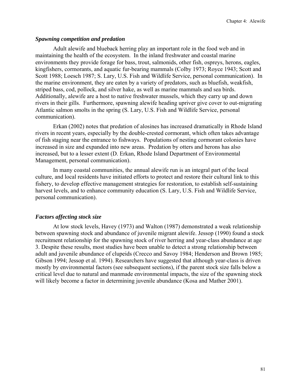#### *Spawning competition and predation*

Adult alewife and blueback herring play an important role in the food web and in maintaining the health of the ecosystem. In the inland freshwater and coastal marine environments they provide forage for bass, trout, salmonids, other fish, ospreys, herons, eagles, kingfishers, cormorants, and aquatic fur-bearing mammals (Colby 1973; Royce 1943; Scott and Scott 1988; Loesch 1987; S. Lary, U.S. Fish and Wildlife Service, personal communication). In the marine environment, they are eaten by a variety of predators, such as bluefish, weakfish, striped bass, cod, pollock, and silver hake, as well as marine mammals and sea birds. Additionally, alewife are a host to native freshwater mussels, which they carry up and down rivers in their gills. Furthermore, spawning alewife heading upriver give cover to out-migrating Atlantic salmon smolts in the spring (S. Lary, U.S. Fish and Wildlife Service, personal communication).

Erkan (2002) notes that predation of alosines has increased dramatically in Rhode Island rivers in recent years, especially by the double-crested cormorant, which often takes advantage of fish staging near the entrance to fishways. Populations of nesting cormorant colonies have increased in size and expanded into new areas. Predation by otters and herons has also increased, but to a lesser extent (D. Erkan, Rhode Island Department of Environmental Management, personal communication).

In many coastal communities, the annual alewife run is an integral part of the local culture, and local residents have initiated efforts to protect and restore their cultural link to this fishery, to develop effective management strategies for restoration, to establish self-sustaining harvest levels, and to enhance community education (S. Lary, U.S. Fish and Wildlife Service, personal communication).

# *Factors affecting stock size*

At low stock levels, Havey (1973) and Walton (1987) demonstrated a weak relationship between spawning stock and abundance of juvenile migrant alewife. Jessop (1990) found a stock recruitment relationship for the spawning stock of river herring and year-class abundance at age 3. Despite these results, most studies have been unable to detect a strong relationship between adult and juvenile abundance of clupeids (Crecco and Savoy 1984; Henderson and Brown 1985; Gibson 1994; Jessop et al. 1994). Researchers have suggested that although year-class is driven mostly by environmental factors (see subsequent sections), if the parent stock size falls below a critical level due to natural and manmade environmental impacts, the size of the spawning stock will likely become a factor in determining juvenile abundance (Kosa and Mather 2001).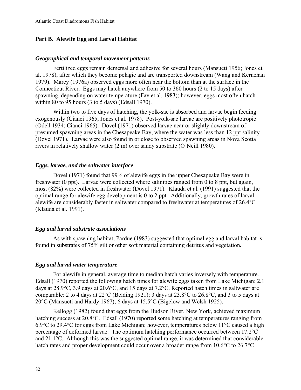## **Part B. Alewife Egg and Larval Habitat**

#### *Geographical and temporal movement patterns*

Fertilized eggs remain demersal and adhesive for several hours (Mansueti 1956; Jones et al. 1978), after which they become pelagic and are transported downstream (Wang and Kernehan 1979). Marcy (1976a) observed eggs more often near the bottom than at the surface in the Connecticut River. Eggs may hatch anywhere from 50 to 360 hours (2 to 15 days) after spawning, depending on water temperature (Fay et al. 1983); however, eggs most often hatch within 80 to 95 hours (3 to 5 days) (Edsall 1970).

Within two to five days of hatching, the yolk-sac is absorbed and larvae begin feeding exogenously (Cianci 1965; Jones et al. 1978). Post-yolk-sac larvae are positively phototropic (Odell 1934; Cianci 1965). Dovel (1971) observed larvae near or slightly downstream of presumed spawning areas in the Chesapeake Bay, where the water was less than 12 ppt salinity (Dovel 1971). Larvae were also found in or close to observed spawning areas in Nova Scotia rivers in relatively shallow water (2 m) over sandy substrate (O'Neill 1980).

#### *Eggs, larvae, and the saltwater interface*

Dovel (1971) found that 99% of alewife eggs in the upper Chesapeake Bay were in freshwater (0 ppt). Larvae were collected where salinities ranged from 0 to 8 ppt, but again, most (82%) were collected in freshwater (Dovel 1971). Klauda et al. (1991) suggested that the optimal range for alewife egg development is 0 to 2 ppt. Additionally, growth rates of larval alewife are considerably faster in saltwater compared to freshwater at temperatures of 26.4°C (Klauda et al. 1991).

#### *Egg and larval substrate associations*

As with spawning habitat, Pardue (1983) suggested that optimal egg and larval habitat is found in substrates of 75% silt or other soft material containing detritus and vegetation**.**

## *Egg and larval water temperature*

For alewife in general, average time to median hatch varies inversely with temperature. Edsall (1970) reported the following hatch times for alewife eggs taken from Lake Michigan: 2.1 days at 28.9°C, 3.9 days at 20.6°C, and 15 days at 7.2°C. Reported hatch times in saltwater are comparable: 2 to 4 days at 22°C (Belding 1921); 3 days at 23.8°C to 26.8°C, and 3 to 5 days at 20°C (Mansueti and Hardy 1967); 6 days at 15.5°C (Bigelow and Welsh 1925).

Kellogg (1982) found that eggs from the Hudson River, New York, achieved maximum hatching success at 20.8°C. Edsall (1970) reported some hatching at temperatures ranging from 6.9°C to 29.4°C for eggs from Lake Michigan; however, temperatures below 11°C caused a high percentage of deformed larvae. The optimum hatching performance occurred between 17.2°C and 21.1°C. Although this was the suggested optimal range, it was determined that considerable hatch rates and proper development could occur over a broader range from 10.6°C to 26.7°C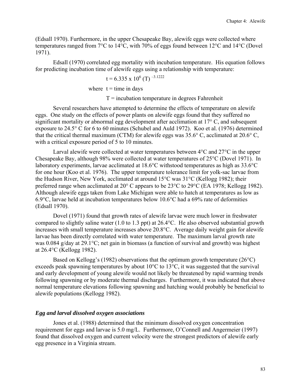(Edsall 1970). Furthermore, in the upper Chesapeake Bay, alewife eggs were collected where temperatures ranged from 7°C to 14°C, with 70% of eggs found between 12°C and 14°C (Dovel 1971).

Edsall (1970) correlated egg mortality with incubation temperature. His equation follows for predicting incubation time of alewife eggs using a relationship with temperature:

 $t = 6.335 \times 10^6$  (T)  $^{-3.1222}$ 

where  $t =$  time in days

 $T =$  incubation temperature in degrees Fahrenheit

Several researchers have attempted to determine the effects of temperature on alewife eggs. One study on the effects of power plants on alewife eggs found that they suffered no significant mortality or abnormal egg development after acclimation at 17° C, and subsequent exposure to 24.5° C for 6 to 60 minutes (Schubel and Auld 1972). Koo et al. (1976) determined that the critical thermal maximum (CTM) for alewife eggs was 35.6° C, acclimated at 20.6° C, with a critical exposure period of 5 to 10 minutes.

Larval alewife were collected at water temperatures between 4°C and 27°C in the upper Chesapeake Bay, although 98% were collected at water temperatures of 25°C (Dovel 1971). In laboratory experiments, larvae acclimated at 18.6°C withstood temperatures as high as 33.6°C for one hour (Koo et al. 1976). The upper temperature tolerance limit for yolk-sac larvae from the Hudson River, New York, acclimated at around 15°C was 31°C (Kellogg 1982); their preferred range when acclimated at 20° C appears to be 23°C to 29°C (EA 1978; Kellogg 1982). Although alewife eggs taken from Lake Michigan were able to hatch at temperatures as low as 6.9°C, larvae held at incubation temperatures below 10.6°C had a 69% rate of deformities (Edsall 1970).

Dovel (1971) found that growth rates of alewife larvae were much lower in freshwater compared to slightly saline water (1.0 to 1.3 ppt) at 26.4°C. He also observed substantial growth increases with small temperature increases above 20.8°C. Average daily weight gain for alewife larvae has been directly correlated with water temperature. The maximum larval growth rate was 0.084 g/day at 29.1°C; net gain in biomass (a function of survival and growth) was highest at 26.4°C (Kellogg 1982).

Based on Kellogg's (1982) observations that the optimum growth temperature (26°C) exceeds peak spawning temperatures by about  $10^{\circ}$ C to  $13^{\circ}$ C, it was suggested that the survival and early development of young alewife would not likely be threatened by rapid warming trends following spawning or by moderate thermal discharges. Furthermore, it was indicated that above normal temperature elevations following spawning and hatching would probably be beneficial to alewife populations (Kellogg 1982).

# *Egg and larval dissolved oxygen associations*

Jones et al. (1988) determined that the minimum dissolved oxygen concentration requirement for eggs and larvae is 5.0 mg/L. Furthermore, O'Connell and Angermeier (1997) found that dissolved oxygen and current velocity were the strongest predictors of alewife early egg presence in a Virginia stream.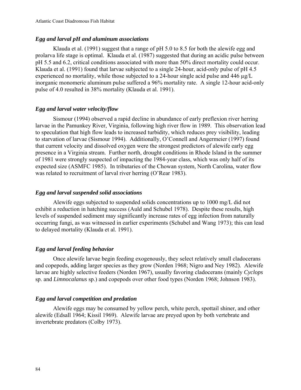#### *Egg and larval pH and aluminum associations*

Klauda et al. (1991) suggest that a range of pH 5.0 to 8.5 for both the alewife egg and prolarva life stage is optimal. Klauda et al. (1987) suggested that during an acidic pulse between pH 5.5 and 6.2, critical conditions associated with more than 50% direct mortality could occur. Klauda et al. (1991) found that larvae subjected to a single 24-hour, acid-only pulse of pH 4.5 experienced no mortality, while those subjected to a 24-hour single acid pulse and 446  $\mu$ g/L inorganic monomeric aluminum pulse suffered a 96% mortality rate. A single 12-hour acid-only pulse of 4.0 resulted in 38% mortality (Klauda et al. 1991).

# *Egg and larval water velocity/flow*

Sismour (1994) observed a rapid decline in abundance of early preflexion river herring larvae in the Pamunkey River, Virginia, following high river flow in 1989. This observation lead to speculation that high flow leads to increased turbidity, which reduces prey visibility, leading to starvation of larvae (Sismour 1994). Additionally, O'Connell and Angermeier (1997) found that current velocity and dissolved oxygen were the strongest predictors of alewife early egg presence in a Virginia stream. Further north, drought conditions in Rhode Island in the summer of 1981 were strongly suspected of impacting the 1984-year class, which was only half of its expected size (ASMFC 1985). In tributaries of the Chowan system, North Carolina, water flow was related to recruitment of larval river herring (O'Rear 1983).

#### *Egg and larval suspended solid associations*

Alewife eggs subjected to suspended solids concentrations up to 1000 mg/L did not exhibit a reduction in hatching success (Auld and Schubel 1978). Despite these results, high levels of suspended sediment may significantly increase rates of egg infection from naturally occurring fungi, as was witnessed in earlier experiments (Schubel and Wang 1973); this can lead to delayed mortality (Klauda et al. 1991).

## *Egg and larval feeding behavior*

Once alewife larvae begin feeding exogenously, they select relatively small cladocerans and copepods, adding larger species as they grow (Norden 1968; Nigro and Ney 1982). Alewife larvae are highly selective feeders (Norden 1967), usually favoring cladocerans (mainly *Cyclops*  sp. and *Limnocalanus* sp.) and copepods over other food types (Norden 1968; Johnson 1983).

# *Egg and larval competition and predation*

Alewife eggs may be consumed by yellow perch, white perch, spottail shiner, and other alewife (Edsall 1964; Kissil 1969). Alewife larvae are preyed upon by both vertebrate and invertebrate predators (Colby 1973).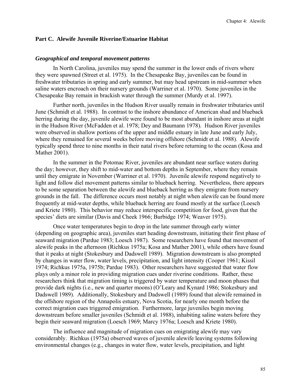## **Part C. Alewife Juvenile Riverine/Estuarine Habitat**

#### *Geographical and temporal movement patterns*

In North Carolina, juveniles may spend the summer in the lower ends of rivers where they were spawned (Street et al. 1975). In the Chesapeake Bay, juveniles can be found in freshwater tributaries in spring and early summer, but may head upstream in mid-summer when saline waters encroach on their nursery grounds (Warriner et al. 1970). Some juveniles in the Chesapeake Bay remain in brackish water through the summer (Murdy et al. 1997).

Further north, juveniles in the Hudson River usually remain in freshwater tributaries until June (Schmidt et al. 1988). In contrast to the inshore abundance of American shad and blueback herring during the day, juvenile alewife were found to be most abundant in inshore areas at night in the Hudson River (McFadden et al. 1978; Dey and Baumann 1978). Hudson River juveniles were observed in shallow portions of the upper and middle estuary in late June and early July, where they remained for several weeks before moving offshore (Schmidt et al. 1988). Alewife typically spend three to nine months in their natal rivers before returning to the ocean (Kosa and Mather 2001).

In the summer in the Potomac River, juveniles are abundant near surface waters during the day; however, they shift to mid-water and bottom depths in September, where they remain until they emigrate in November (Warriner et al. 1970). Juvenile alewife respond negatively to light and follow diel movement patterns similar to blueback herring. Nevertheless, there appears to be some separation between the alewife and blueback herring as they emigrate from nursery grounds in the fall. The difference occurs most notably at night when alewife can be found more frequently at mid-water depths, while blueback herring are found mostly at the surface (Loesch and Kriete 1980). This behavior may reduce interspecific competition for food, given that the species' diets are similar (Davis and Cheek 1966; Burbidge 1974; Weaver 1975).

Once water temperatures begin to drop in the late summer through early winter (depending on geographic area), juveniles start heading downstream, initiating their first phase of seaward migration (Pardue 1983; Loesch 1987). Some researchers have found that movement of alewife peaks in the afternoon (Richkus 1975a; Kosa and Mather 2001), while others have found that it peaks at night (Stokesbury and Dadswell 1989). Migration downstream is also prompted by changes in water flow, water levels, precipitation, and light intensity (Cooper 1961; Kissil 1974; Richkus 1975a, 1975b; Pardue 1983). Other researchers have suggested that water flow plays only a minor role in providing migration cues under riverine conditions. Rather, these researchers think that migration timing is triggered by water temperature and moon phases that provide dark nights (i.e., new and quarter moons) (O'Leary and Kynard 1986; Stokesbury and Dadswell 1989). Additionally, Stokesbury and Dadswell (1989) found that alewife remained in the offshore region of the Annapolis estuary, Nova Scotia, for nearly one month before the correct migration cues triggered emigration. Furthermore, large juveniles begin moving downstream before smaller juveniles (Schmidt et al. 1988), inhabiting saline waters before they begin their seaward migration (Loesch 1969; Marcy 1976a; Loesch and Kriete 1980).

The influence and magnitude of migration cues on emigrating alewife may vary considerably. Richkus (1975a) observed waves of juvenile alewife leaving systems following environmental changes (e.g., changes in water flow, water levels, precipitation, and light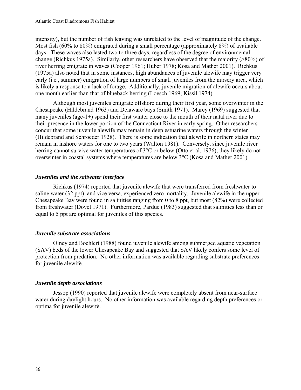intensity), but the number of fish leaving was unrelated to the level of magnitude of the change. Most fish (60% to 80%) emigrated during a small percentage (approximately 8%) of available days. These waves also lasted two to three days, regardless of the degree of environmental change (Richkus 1975a). Similarly, other researchers have observed that the majority (>80%) of river herring emigrate in waves (Cooper 1961; Huber 1978; Kosa and Mather 2001). Richkus (1975a) also noted that in some instances, high abundances of juvenile alewife may trigger very early (i.e., summer) emigration of large numbers of small juveniles from the nursery area, which is likely a response to a lack of forage. Additionally, juvenile migration of alewife occurs about one month earlier than that of blueback herring (Loesch 1969; Kissil 1974).

Although most juveniles emigrate offshore during their first year, some overwinter in the Chesapeake (Hildebrand 1963) and Delaware bays (Smith 1971). Marcy (1969) suggested that many juveniles (age-1+) spend their first winter close to the mouth of their natal river due to their presence in the lower portion of the Connecticut River in early spring. Other researchers concur that some juvenile alewife may remain in deep estuarine waters through the winter (Hildebrand and Schroeder 1928). There is some indication that alewife in northern states may remain in inshore waters for one to two years (Walton 1981). Conversely, since juvenile river herring cannot survive water temperatures of 3°C or below (Otto et al. 1976), they likely do not overwinter in coastal systems where temperatures are below 3°C (Kosa and Mather 2001).

# *Juveniles and the saltwater interface*

Richkus (1974) reported that juvenile alewife that were transferred from freshwater to saline water (32 ppt), and vice versa, experienced zero mortality. Juvenile alewife in the upper Chesapeake Bay were found in salinities ranging from 0 to 8 ppt, but most (82%) were collected from freshwater (Dovel 1971). Furthermore, Pardue (1983) suggested that salinities less than or equal to 5 ppt are optimal for juveniles of this species.

# *Juvenile substrate associations*

Olney and Boehlert (1988) found juvenile alewife among submerged aquatic vegetation (SAV) beds of the lower Chesapeake Bay and suggested that SAV likely confers some level of protection from predation. No other information was available regarding substrate preferences for juvenile alewife.

# *Juvenile depth associations*

Jessop (1990) reported that juvenile alewife were completely absent from near-surface water during daylight hours. No other information was available regarding depth preferences or optima for juvenile alewife.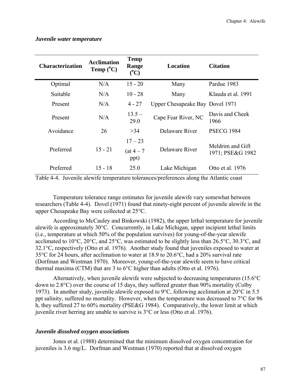| <b>Characterization</b> | <b>Acclimation</b><br>Temp $(^{\circ}C)$ | <b>Temp</b><br>Range<br>$(^0C)$   | Location                        | <b>Citation</b>                      |
|-------------------------|------------------------------------------|-----------------------------------|---------------------------------|--------------------------------------|
| Optimal                 | N/A                                      | $15 - 20$                         | Many                            | Pardue 1983                          |
| Suitable                | N/A                                      | $10 - 28$                         | Many                            | Klauda et al. 1991                   |
| Present                 | N/A                                      | $4 - 27$                          | Upper Chesapeake Bay Dovel 1971 |                                      |
| Present                 | N/A                                      | $13.5 -$<br>29.0                  | Cape Fear River, NC             | Davis and Cheek<br>1966              |
| Avoidance               | 26                                       | >34                               | Delaware River                  | <b>PSECG 1984</b>                    |
| Preferred               | $15 - 21$                                | $17 - 23$<br>$(at 4 - 7)$<br>ppt) | Delaware River                  | Meldrim and Gift<br>1971; PSE&G 1982 |
| Preferred               | $15 - 18$                                | 25 <sub>0</sub>                   | Lake Michigan                   | Otto et al. 1976                     |

#### *Juvenile water temperature*

Table 4-4. Juvenile alewife temperature tolerances/preferences along the Atlantic coast

Temperature tolerance range estimates for juvenile alewife vary somewhat between researchers (Table 4-4). Dovel (1971) found that ninety-eight percent of juvenile alewife in the upper Chesapeake Bay were collected at 25°C.

According to McCauley and Binkowski (1982), the upper lethal temperature for juvenile alewife is approximately 30°C. Concurrently, in Lake Michigan, upper incipient lethal limits (i.e., temperature at which 50% of the population survives) for young-of-the-year alewife acclimated to 10°C, 20°C, and 25°C, was estimated to be slightly less than 26.5°C, 30.3°C, and 32.1°C, respectively (Otto et al. 1976). Another study found that juveniles exposed to water at 35°C for 24 hours, after acclimation to water at 18.9 to 20.6°C, had a 20% survival rate (Dorfman and Westman 1970). Moreover, young-of-the-year alewife seem to have critical thermal maxima (CTM) that are 3 to 6°C higher than adults (Otto et al. 1976).

Alternatively, when juvenile alewife were subjected to decreasing temperatures (15.6°C down to 2.8°C) over the course of 15 days, they suffered greater than 90% mortality (Colby 1973). In another study, juvenile alewife exposed to 9°C, following acclimation at 20°C in 5.5 ppt salinity, suffered no mortality. However, when the temperature was decreased to 7°C for 96 h, they suffered 27 to 60% mortality (PSE&G 1984). Comparatively, the lower limit at which juvenile river herring are unable to survive is 3°C or less (Otto et al. 1976).

# *Juvenile dissolved oxygen associations*

Jones et al. (1988) determined that the minimum dissolved oxygen concentration for juveniles is 3.6 mg/L. Dorfman and Westman (1970) reported that at dissolved oxygen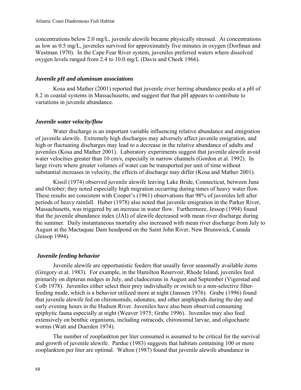concentrations below 2.0 mg/L, juvenile alewife became physically stressed. At concentrations as low as 0.5 mg/L, juveniles survived for approximately five minutes in oxygen (Dorfman and Westman 1970). In the Cape Fear River system, juveniles preferred waters where dissolved oxygen levels ranged from 2.4 to 10.0 mg/L (Davis and Cheek 1966).

# *Juvenile pH and aluminum associations*

Kosa and Mather (2001) reported that juvenile river herring abundance peaks at a pH of 8.2 in coastal systems in Massachusetts, and suggest that that pH appears to contribute to variations in juvenile abundance.

# *Juvenile water velocity/flow*

Water discharge is an important variable influencing relative abundance and emigration of juvenile alewife. Extremely high discharges may adversely affect juvenile emigration, and high or fluctuating discharges may lead to a decrease in the relative abundance of adults and juveniles (Kosa and Mather 2001). Laboratory experiments suggest that juvenile alewife avoid water velocities greater than 10 cm/s, especially in narrow channels (Gordon et al. 1992). In large rivers where greater volumes of water can be transported per unit of time without substantial increases in velocity, the effects of discharge may differ (Kosa and Mather 2001).

Kissil (1974) observed juvenile alewife leaving Lake Bride, Connecticut, between June and October; they noted especially high migration occurring during times of heavy water flow. These results are consistent with Cooper's (1961) observations that 98% of juveniles left after periods of heavy rainfall. Huber (1978) also noted that juvenile emigration in the Parker River, Massachusetts, was triggered by an increase in water flow. Furthermore, Jessop (1994) found that the juvenile abundance index (JAI) of alewife decreased with mean river discharge during the summer. Daily instantaneous mortality also increased with mean river discharge from July to August at the Mactaquac Dam headpond on the Saint John River, New Brunswick, Canada (Jessop 1994).

# *Juvenile feeding behavior*

Juvenile alewife are opportunistic feeders that usually favor seasonally available items (Gregory et al. 1983). For example, in the Hamilton Reservoir, Rhode Island, juveniles feed primarily on dipteran midges in July, and cladocerans in August and September (Vigerstad and Colb 1978). Juveniles either select their prey individually or switch to a non-selective filterfeeding mode, which is a behavior utilized more at night (Janssen 1976). Grabe (1996) found that juvenile alewife fed on chironomids, odonates, and other amphipods during the day and early evening hours in the Hudson River. Juveniles have also been observed consuming epiphytic fauna especially at night (Weaver 1975; Grabe 1996). Juveniles may also feed extensively on benthic organisms, including ostracods, chironomid larvae, and oligochaete worms (Watt and Duerden 1974).

The number of zooplankton per liter consumed is assumed to be critical for the survival and growth of juvenile alewife. Pardue (1983) suggests that habitats containing 100 or more zooplankton per liter are optimal. Walton (1987) found that juvenile alewife abundance in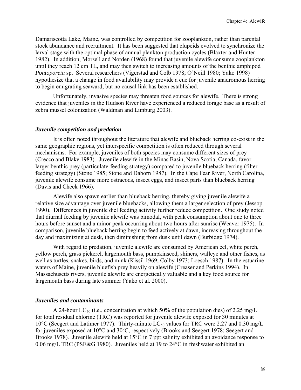Damariscotta Lake, Maine, was controlled by competition for zooplankton, rather than parental stock abundance and recruitment. It has been suggested that clupeids evolved to synchronize the larval stage with the optimal phase of annual plankton production cycles (Blaxter and Hunter 1982). In addition, Morsell and Norden (1968) found that juvenile alewife consume zooplankton until they reach 12 cm TL, and may then switch to increasing amounts of the benthic amphipod *Pontoporeia* sp. Several researchers (Vigerstad and Colb 1978; O'Neill 1980; Yako 1998) hypothesize that a change in food availability may provide a cue for juvenile anadromous herring to begin emigrating seaward, but no causal link has been established.

Unfortunately, invasive species may threaten food sources for alewife. There is strong evidence that juveniles in the Hudson River have experienced a reduced forage base as a result of zebra mussel colonization (Waldman and Limburg 2003).

## *Juvenile competition and predation*

It is often noted throughout the literature that alewife and blueback herring co-exist in the same geographic regions, yet interspecific competition is often reduced through several mechanisms. For example, juveniles of both species may consume different sizes of prey (Crecco and Blake 1983). Juvenile alewife in the Minas Basin, Nova Scotia, Canada, favor larger benthic prey (particulate-feeding strategy) compared to juvenile blueback herring (filterfeeding strategy) (Stone 1985; Stone and Daborn 1987). In the Cape Fear River, North Carolina, juvenile alewife consume more ostracods, insect eggs, and insect parts than blueback herring (Davis and Cheek 1966).

Alewife also spawn earlier than blueback herring, thereby giving juvenile alewife a relative size advantage over juvenile bluebacks, allowing them a larger selection of prey (Jessop 1990). Differences in juvenile diel feeding activity further reduce competition. One study noted that diurnal feeding by juvenile alewife was bimodal, with peak consumption about one to three hours before sunset and a minor peak occurring about two hours after sunrise (Weaver 1975). In comparison, juvenile blueback herring begin to feed actively at dawn, increasing throughout the day and maximizing at dusk, then diminishing from dusk until dawn (Burbidge 1974).

With regard to predation, juvenile alewife are consumed by American eel, white perch, yellow perch, grass pickerel, largemouth bass, pumpkinseed, shiners, walleye and other fishes, as well as turtles, snakes, birds, and mink (Kissil 1969; Colby 1973; Loesch 1987). In the estuarine waters of Maine, juvenile bluefish prey heavily on alewife (Creaser and Perkins 1994). In Massachusetts rivers, juvenile alewife are energetically valuable and a key food source for largemouth bass during late summer (Yako et al. 2000).

# *Juveniles and contaminants*

A 24-hour LC<sub>50</sub> (i.e., concentration at which 50% of the population dies) of 2.25 mg/L for total residual chlorine (TRC) was reported for juvenile alewife exposed for 30 minutes at 10°C (Seegert and Latimer 1977). Thirty-minute  $LC_{50}$  values for TRC were 2.27 and 0.30 mg/L for juveniles exposed at 10°C and 30°C, respectively (Brooks and Seegert 1978; Seegert and Brooks 1978). Juvenile alewife held at 15°C in 7 ppt salinity exhibited an avoidance response to 0.06 mg/L TRC (PSE&G 1980). Juveniles held at 19 to 24°C in freshwater exhibited an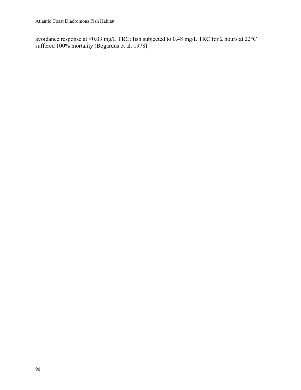avoidance response at <0.03 mg/L TRC; fish subjected to 0.48 mg/L TRC for 2 hours at 22°C suffered 100% mortality (Bogardus et al. 1978).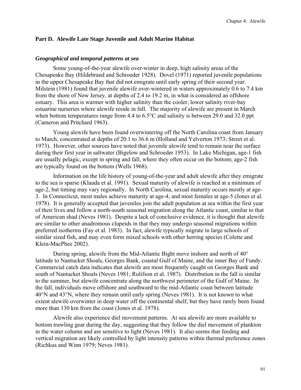## **Part D. Alewife Late Stage Juvenile and Adult Marine Habitat**

#### *Geographical and temporal patterns at sea*

Some young-of-the-year alewife over-winter in deep, high salinity areas of the Chesapeake Bay (Hildebrand and Schroeder 1928). Dovel (1971) reported juvenile populations in the upper Chesapeake Bay that did not emigrate until early spring of their second year. Milstein (1981) found that juvenile alewife over-wintered in waters approximately 0.6 to 7.4 km from the shore of New Jersey, at depths of 2.4 to 19.2 m, in what is considered an offshore estuary. This area is warmer with higher salinity than the cooler, lower salinity river-bay estuarine nurseries where alewife reside in fall. The majority of alewife are present in March when bottom temperatures range from 4.4 to 6.5<sup>o</sup>C and salinity is between 29.0 and 32.0 ppt (Cameron and Pritchard 1963).

Young alewife have been found overwintering off the North Carolina coast from January to March, concentrated at depths of 20.1 to 36.6 m (Holland and Yelverton 1973; Street et al. 1973). However, other sources have noted that juvenile alewife tend to remain near the surface during their first year in saltwater (Bigelow and Schroeder 1953). In Lake Michigan, age-1 fish are usually pelagic, except in spring and fall, where they often occur on the bottom; age-2 fish are typically found on the bottom (Wells 1968).

Information on the life history of young-of-the-year and adult alewife after they emigrate to the sea is sparse (Klauda et al. 1991). Sexual maturity of alewife is reached at a minimum of age-2, but timing may vary regionally. In North Carolina, sexual maturity occurs mostly at age-3. In Connecticut, most males achieve maturity at age-4, and most females at age-5 (Jones et al. 1978). It is generally accepted that juveniles join the adult population at sea within the first year of their lives and follow a north-south seasonal migration along the Atlantic coast, similar to that of American shad (Neves 1981). Despite a lack of conclusive evidence, it is thought that alewife are similar to other anadromous clupeids in that they may undergo seasonal migrations within preferred isotherms (Fay et al. 1983). In fact, alewife typically migrate in large schools of similar sized fish, and may even form mixed schools with other herring species (Colette and Klein-MacPhee 2002).

During spring, alewife from the Mid-Atlantic Bight move inshore and north of 40° latitude to Nantucket Shoals, Georges Bank, coastal Gulf of Maine, and the inner Bay of Fundy. Commercial catch data indicates that alewife are most frequently caught on Georges Bank and south of Nantucket Shoals (Neves 1981; Rulifson et al. 1987). Distribution in the fall is similar to the summer, but alewife concentrate along the northwest perimeter of the Gulf of Maine. In the fall, individuals move offshore and southward to the mid-Atlantic coast between latitude 40°N and 43°N, where they remain until early spring (Neves 1981). It is not known to what extent alewife overwinter in deep water off the continental shelf, but they have rarely been found more than 130 km from the coast (Jones et al. 1978).

Alewife also experience diel movement patterns. At sea alewife are more available to bottom trawling gear during the day, suggesting that they follow the diel movement of plankton in the water column and are sensitive to light (Neves 1981). It also seems that feeding and vertical migration are likely controlled by light intensity patterns within thermal preference zones (Richkus and Winn 1979; Neves 1981).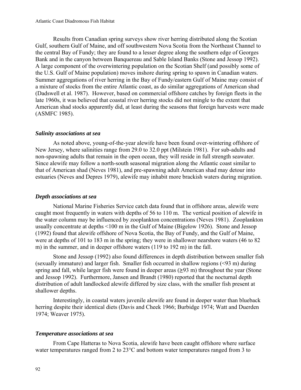Results from Canadian spring surveys show river herring distributed along the Scotian Gulf, southern Gulf of Maine, and off southwestern Nova Scotia from the Northeast Channel to the central Bay of Fundy; they are found to a lesser degree along the southern edge of Georges Bank and in the canyon between Banquereau and Sable Island Banks (Stone and Jessop 1992). A large component of the overwintering population on the Scotian Shelf (and possibly some of the U.S. Gulf of Maine population) moves inshore during spring to spawn in Canadian waters. Summer aggregations of river herring in the Bay of Fundy/eastern Gulf of Maine may consist of a mixture of stocks from the entire Atlantic coast, as do similar aggregations of American shad (Dadswell et al. 1987). However, based on commercial offshore catches by foreign fleets in the late 1960s, it was believed that coastal river herring stocks did not mingle to the extent that American shad stocks apparently did, at least during the seasons that foreign harvests were made (ASMFC 1985).

#### *Salinity associations at sea*

As noted above, young-of-the-year alewife have been found over-wintering offshore of New Jersey, where salinities range from 29.0 to 32.0 ppt (Milstein 1981). For sub-adults and non-spawning adults that remain in the open ocean, they will reside in full strength seawater. Since alewife may follow a north-south seasonal migration along the Atlantic coast similar to that of American shad (Neves 1981), and pre-spawning adult American shad may detour into estuaries (Neves and Depres 1979), alewife may inhabit more brackish waters during migration.

#### *Depth associations at sea*

National Marine Fisheries Service catch data found that in offshore areas, alewife were caught most frequently in waters with depths of 56 to 110 m. The vertical position of alewife in the water column may be influenced by zooplankton concentrations (Neves 1981). Zooplankton usually concentrate at depths <100 m in the Gulf of Maine (Bigelow 1926). Stone and Jessop (1992) found that alewife offshore of Nova Scotia, the Bay of Fundy, and the Gulf of Maine, were at depths of 101 to 183 m in the spring; they were in shallower nearshore waters (46 to 82 m) in the summer, and in deeper offshore waters (119 to 192 m) in the fall.

Stone and Jessop (1992) also found differences in depth distribution between smaller fish (sexually immature) and larger fish. Smaller fish occurred in shallow regions (<93 m) during spring and fall, while larger fish were found in deeper areas  $(\geq 93 \text{ m})$  throughout the year (Stone and Jessop 1992). Furthermore, Jansen and Brandt (1980) reported that the nocturnal depth distribution of adult landlocked alewife differed by size class, with the smaller fish present at shallower depths.

Interestingly, in coastal waters juvenile alewife are found in deeper water than blueback herring despite their identical diets (Davis and Cheek 1966; Burbidge 1974; Watt and Duerden 1974; Weaver 1975).

#### *Temperature associations at sea*

From Cape Hatteras to Nova Scotia, alewife have been caught offshore where surface water temperatures ranged from 2 to 23°C and bottom water temperatures ranged from 3 to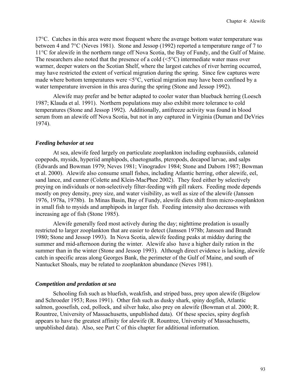17°C. Catches in this area were most frequent where the average bottom water temperature was between 4 and 7°C (Neves 1981). Stone and Jessop (1992) reported a temperature range of 7 to 11°C for alewife in the northern range off Nova Scotia, the Bay of Fundy, and the Gulf of Maine. The researchers also noted that the presence of a cold  $(\leq 5^{\circ}C)$  intermediate water mass over warmer, deeper waters on the Scotian Shelf, where the largest catches of river herring occurred, may have restricted the extent of vertical migration during the spring. Since few captures were made where bottom temperatures were <5°C, vertical migration may have been confined by a water temperature inversion in this area during the spring (Stone and Jessop 1992).

Alewife may prefer and be better adapted to cooler water than blueback herring (Loesch 1987; Klauda et al. 1991). Northern populations may also exhibit more tolerance to cold temperatures (Stone and Jessop 1992). Additionally, antifreeze activity was found in blood serum from an alewife off Nova Scotia, but not in any captured in Virginia (Duman and DeVries 1974).

## *Feeding behavior at sea*

At sea, alewife feed largely on particulate zooplankton including euphausiids, calanoid copepods, mysids, hyperiid amphipods, chaetognaths, pteropods, decapod larvae, and salps (Edwards and Bowman 1979; Neves 1981; Vinogradov 1984; Stone and Daborn 1987; Bowman et al. 2000). Alewife also consume small fishes, including Atlantic herring, other alewife, eel, sand lance, and cunner (Colette and Klein-MacPhee 2002). They feed either by selectively preying on individuals or non-selectively filter-feeding with gill rakers. Feeding mode depends mostly on prey density, prey size, and water visibility, as well as size of the alewife (Janssen 1976, 1978a, 1978b). In Minas Basin, Bay of Fundy, alewife diets shift from micro-zooplankton in small fish to mysids and amphipods in larger fish. Feeding intensity also decreases with increasing age of fish (Stone 1985).

Alewife generally feed most actively during the day; nighttime predation is usually restricted to larger zooplankton that are easier to detect (Janssen 1978b; Janssen and Brandt 1980; Stone and Jessop 1993). In Nova Scotia, alewife feeding peaks at midday during the summer and mid-afternoon during the winter. Alewife also have a higher daily ration in the summer than in the winter (Stone and Jessop 1993). Although direct evidence is lacking, alewife catch in specific areas along Georges Bank, the perimeter of the Gulf of Maine, and south of Nantucket Shoals, may be related to zooplankton abundance (Neves 1981).

#### *Competition and predation at sea*

Schooling fish such as bluefish, weakfish, and striped bass, prey upon alewife (Bigelow and Schroeder 1953; Ross 1991). Other fish such as dusky shark, spiny dogfish, Atlantic salmon, goosefish, cod, pollock, and silver hake, also prey on alewife (Bowman et al. 2000; R. Rountree, University of Massachusetts, unpublished data). Of these species, spiny dogfish appears to have the greatest affinity for alewife (R. Rountree, University of Massachusetts, unpublished data). Also, see Part C of this chapter for additional information.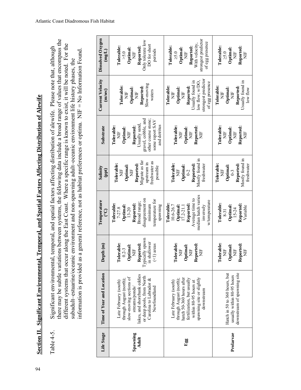Section II. Significant Environmental, Temporal, and Spatial Factors Affecting Distribution of Alewife **Section II. Significant Environmental, Temporal, and Spatial Factors Affecting Distribution of Alewife**

there may be subtle variations between systems, the following data include a broad range of values that encompass the there may be subtle variations between systems, the following data include a broad range of values that encompass the different systems that occur along the East Coast. Where a specific range is known to exist, it will be noted. For the different systems that occur along the East Coast. Where a specific range is known to exist, it will be noted. For the Table 4-5. Significant environmental, temporal, and spatial factors affecting distribution of alewife. Please note that, although Significant environmental, temporal, and spatial factors affecting distribution of alewife. Please note that, although information is provided as a general reference, not as habitat preferences or optima. NIF = No Information Found. information is provided as a general reference, not as habitat preferences or optima. NIF = No Information Found. subadult-estuarine/oceanic environment and non-spawning adult-oceanic environment life history phases, the subadult–estuarine/oceanic environment and non-spawning adult–oceanic environment life history phases, the Table 4-5.

| Life Stage        | Time of Year and Location                                                                                                                                                                              | Depth <sub>(m)</sub>                                                                                                   | Temperature<br><u>୍</u>                                                                                                                     | Salinity<br>(ppt)                                                                                           | Substrate                                                                                                                                      | <b>Current Velocity</b><br>(m/sec)                                                                                                       | Dissolved Oxygen<br>(mg/L)                                                                                         |
|-------------------|--------------------------------------------------------------------------------------------------------------------------------------------------------------------------------------------------------|------------------------------------------------------------------------------------------------------------------------|---------------------------------------------------------------------------------------------------------------------------------------------|-------------------------------------------------------------------------------------------------------------|------------------------------------------------------------------------------------------------------------------------------------------------|------------------------------------------------------------------------------------------------------------------------------------------|--------------------------------------------------------------------------------------------------------------------|
| Spawning<br>Adult | lakes, and shorebank eddies<br>or deep pools, from North<br>slow-moving sections of<br>through August (north);<br>Carolina to Labrador $\&$<br>Late February (south)<br>streams/ponds/<br>Newfoundland | Typically spawn<br>in shallower<br>Tolerable:<br>Reported:<br>$($ <1) areas<br>Optimal:<br>$0.2 - 3$<br>$\overline{z}$ | disagreement on<br>temperature for<br>Broad range;<br>Tolerable:<br>Reported:<br>minimum<br>Optimal:<br>spawning<br>$7 - 27.8$<br>$13 - 20$ | Migrate as far<br>freshwater as<br>upstream in<br>Reported:<br>Tolerable:<br>Optimal:<br>possible<br>È<br>Ë | gravel, cobble, and<br>other coarse stone;<br>some report SAV<br>Usually sand<br>and detritus<br>Reported:<br>Tolerable:<br>Optimal:<br>Ë<br>Ë | Slow-moving<br>Reported:<br>Tolerable:<br>Optimal:<br>waters<br>Ž<br>Ž                                                                   | Only tolerate low<br>DO for short<br>Tolerable:<br>Reported:<br>Optimal:<br>periods<br>>5.0<br>$\overline{z}$      |
| Egg               | hatch 50-360 hours after<br>spawning site or slightly<br>fertilization, but usually<br>through August (north);<br>Late February (south)<br>within 80-95 hours at<br>downstream                         | Tolerable:<br>Reported:<br>Optimal:<br>È<br>Ë<br>Ë                                                                     | median hatch varies<br>Average time to<br>w/temperature<br>Reported:<br>Tolerable:<br>Optimal:<br>mversely<br>10.6-26.7<br>$17.2 - 21.1$    | Mostly found in<br>Tolerable:<br>Reported:<br>freshwater<br>Optimal:<br>$0 - 2$<br>Ë                        | Tolerable:<br>Reported:<br>Optimal:<br>È<br>È<br>Z<br>Ë                                                                                        | strongest predictor<br>low flow; $wDDO$ ,<br>Usually found in<br>of egg presence<br>Reported:<br><b>Tolerable:</b><br>Optimal:<br>Ë<br>Ë | strongest predictor<br>of egg presence<br>With velocity.<br>Tolerable:<br>Reported:<br>Optimal:<br>$\geq 5.0$<br>Ë |
| Prolarvae         | Hatch in 50 to 360 hours, but<br>downstream of spawning site<br>usually within 80-95 hours                                                                                                             | Tolerable:<br>Reported:<br>Optimal:<br>Ë<br>Ë<br>Ë                                                                     | Tolerable:<br>Reported:<br>Optimal:<br>Variable<br>15-24<br>$8 - 31$                                                                        | Mostly found in<br>Tolerable:<br>Reported:<br>treshwater<br>Optimal:<br>Ë<br>$0-3$                          | Tolerable:<br>Reported:<br>Optimal:<br>$\overline{z}$<br>Ë<br>Ë                                                                                | Usually found in<br>Tolerable:<br>Reported:<br>Optimal:<br>$low$ flow<br>È<br>Ë                                                          | Tolerable:<br>Reported:<br>Optimal:<br>$\geq 5.0$<br>$\overline{z}$<br>Ë                                           |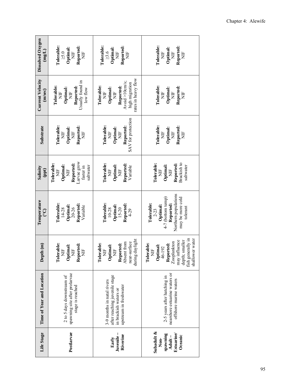| Dissolved Oxygen<br>(mg/L)         | Tolerable:<br>Reported:<br>Optimal:<br>$\geq 5.0$<br>$\overline{E}$<br>Ë               | <b>Tolerable:</b><br>Reported:<br>Optimal:<br>$\geq 3.6$<br>$\Xi$<br>Ë                                           | <b>Tolerable:</b><br>Reported:<br>Optimal:<br>$\frac{1}{2}$<br>Ë<br>Ë                                                                                      |
|------------------------------------|----------------------------------------------------------------------------------------|------------------------------------------------------------------------------------------------------------------|------------------------------------------------------------------------------------------------------------------------------------------------------------|
| <b>Current Velocity</b><br>(m/sec) | Usually found in<br>Tolerable:<br>Reported:<br>Optimal:<br>low flow<br>Ë<br>$\Xi$      | rates in heavy flow<br>Avoid > 10cm/s;<br>high migration<br><b>Tolerable:</b><br>Reported:<br>Optimal:<br>Ë<br>Ë | Tolerable:<br>Reported:<br>NIF<br>Optimal:<br>$\Xi$<br>Ë                                                                                                   |
| Substrate                          | Tolerable:<br>Reported:<br>Optimal:<br>$\frac{1}{2}$<br>$\overline{z}$<br>Ë            | SAV for protection<br>Tolerable:<br>Reported:<br>Optimal:<br>$\overline{z}$<br>Ë                                 | Tolerable:<br>Reported:<br>Optimal:<br>Ë<br>$\frac{1}{2}$<br>Ë                                                                                             |
| Salinity<br>(ppt)                  | Larvae grow<br>Tolerable:<br>Reported:<br>Optimal:<br>faster in<br>saltwater<br>Ë<br>Ë | Tolerable:<br>Reported:<br>Optimal:<br>Variable<br>Ë<br>$\frac{1}{2}$                                            | Brackish to<br>Tolerable:<br>Reported:<br>Optimal:<br>saltwater<br>Ë<br>Ë                                                                                  |
| Temperature<br><u>(၁</u>           | <b>Tolerable:</b><br>Reported:<br>Optimal:<br>Variable<br>20-26<br>14-28               | Tolerable:<br>Reported:<br>Optimal:<br>$15 - 20$<br>10-28<br>$4 - 29$                                            | Northern populations<br>4-7 (bottom temp)<br>may be more cold<br>Reported:<br>Tolerable:<br>Optimal:<br>tolerant<br>$2 - 23$                               |
| Depth (m)                          | lerable:<br>Reported:<br>Optimal:<br>$\overline{H}$<br>$\frac{1}{2}$<br>Ë<br>Ρ         | during daylight<br>near-surface<br>Absent from<br>Reported:<br>Tolerable:<br>Optimal:<br>È<br>$\frac{1}{2}$      | fish generally in<br>shallower water<br>may influence<br>depth; smaller<br>Zooplankton<br>lerable:<br>Reported:<br>Optimal:<br>46-192<br>Ë<br>$\mathbf{F}$ |
| Time of Year and Location          | spawning site after prolarvae<br>2 to 5 days downstream of<br>stage is reached         | after reaching juvenile stage<br>3-9 months in natal rivers<br>upstream in freshwater<br>in brackish waters or   | nearshore estuarine waters or<br>2-5 years after hatching in<br>offshore marine waters                                                                     |
| Life Stage                         | Postlarvae                                                                             | Juvenile-<br>Riverine<br>Early                                                                                   | Subadult &<br><b>Estuarine</b><br>spawning<br>Oceanic<br>Adult $-$<br>Non-                                                                                 |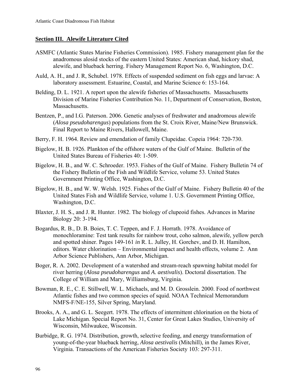# **Section III. Alewife Literature Cited**

- ASMFC (Atlantic States Marine Fisheries Commission). 1985. Fishery management plan for the anadromous alosid stocks of the eastern United States: American shad, hickory shad, alewife, and blueback herring. Fishery Management Report No. 6, Washington, D.C.
- Auld, A. H., and J. R, Schubel. 1978. Effects of suspended sediment on fish eggs and larvae: A laboratory assessment. Estuarine, Coastal, and Marine Science 6: 153-164.
- Belding, D. L. 1921. A report upon the alewife fisheries of Massachusetts. Massachusetts Division of Marine Fisheries Contribution No. 11, Department of Conservation, Boston, Massachusetts.
- Bentzen, P., and I.G. Paterson. 2006. Genetic analyses of freshwater and anadromous alewife (*Alosa pseudoharengus*) populations from the St. Croix River, Maine/New Brunswick. Final Report to Maine Rivers, Hallowell, Maine.
- Berry, F. H. 1964. Review and emendation of family Clupeidae. Copeia 1964: 720-730.
- Bigelow, H. B. 1926. Plankton of the offshore waters of the Gulf of Maine. Bulletin of the United States Bureau of Fisheries 40: 1-509.
- Bigelow, H. B., and W. C. Schroeder. 1953. Fishes of the Gulf of Maine. Fishery Bulletin 74 of the Fishery Bulletin of the Fish and Wildlife Service, volume 53. United States Government Printing Office, Washington, D.C.
- Bigelow, H. B., and W. W. Welsh. 1925. Fishes of the Gulf of Maine. Fishery Bulletin 40 of the United States Fish and Wildlife Service, volume 1. U.S. Government Printing Office, Washington, D.C.
- Blaxter, J. H. S., and J. R. Hunter. 1982. The biology of clupeoid fishes. Advances in Marine Biology 20: 3-194.
- Bogardus, R. B., D. B. Boies, T. C. Teppen, and F. J. Horrath. 1978. Avoidance of monochloramine: Test tank results for rainbow trout, coho salmon, alewife, yellow perch and spotted shiner. Pages 149-161 *in* R. L. Julley, H. Gorchev, and D. H. Hamilton, editors. Water chlorination – Environmental impact and health effects, volume 2. Ann Arbor Science Publishers, Ann Arbor, Michigan.
- Boger, R. A. 2002. Development of a watershed and stream-reach spawning habitat model for river herring (*Alosa pseudoharengus* and *A. aestivalis*). Doctoral dissertation. The College of William and Mary, Williamsburg, Virginia.
- Bowman, R. E., C. E. Stillwell, W. L. Michaels, and M. D. Grosslein. 2000. Food of northwest Atlantic fishes and two common species of squid. NOAA Technical Memorandum NMFS-F/NE-155, Silver Spring, Maryland.
- Brooks, A. A., and G. L. Seegert. 1978. The effects of intermittent chlorination on the biota of Lake Michigan. Special Report No. 31, Center for Great Lakes Studies, University of Wisconsin, Milwaukee, Wisconsin.
- Burbidge, R. G. 1974. Distribution, growth, selective feeding, and energy transformation of young-of-the-year blueback herring, *Alosa aestivalis* (Mitchill), in the James River, Virginia. Transactions of the American Fisheries Society 103: 297-311.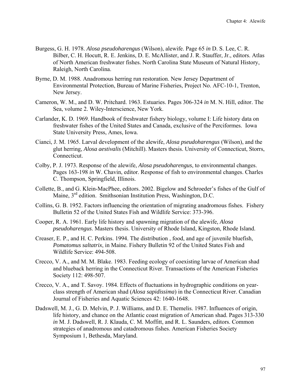- Burgess, G. H. 1978. *Alosa pseudoharengus* (Wilson), alewife. Page 65 *in* D. S. Lee, C. R. Bilber, C. H. Hocutt, R. E. Jenkins, D. E. McAllister, and J. R. Stauffer, Jr., editors. Atlas of North American freshwater fishes. North Carolina State Museum of Natural History, Raleigh, North Carolina.
- Byrne, D. M. 1988. Anadromous herring run restoration. New Jersey Department of Environmental Protection, Bureau of Marine Fisheries, Project No. AFC-10-1, Trenton, New Jersey.
- Cameron, W. M., and D. W. Pritchard. 1963. Estuaries. Pages 306-324 *in* M. N. Hill, editor. The Sea, volume 2. Wiley-Interscience, New York.
- Carlander, K. D. 1969. Handbook of freshwater fishery biology, volume I: Life history data on freshwater fishes of the United States and Canada, exclusive of the Perciformes. Iowa State University Press, Ames, Iowa.
- Cianci, J. M. 1965. Larval development of the alewife, *Alosa pseudoharengus* (Wilson), and the glut herring, *Alosa aestivalis* (Mitchill). Masters thesis. University of Connecticut, Storrs, Connecticut.
- Colby, P. J. 1973. Response of the alewife, *Alosa pseudoharengus*, to environmental changes. Pages 163-198 *in* W. Chavin, editor. Response of fish to environmental changes. Charles C. Thompson, Springfield, Illinois.
- Collette, B., and G. Klein-MacPhee, editors. 2002. Bigelow and Schroeder's fishes of the Gulf of Maine, 3rd edition. Smithsonian Institution Press, Washington, D.C.
- Collins, G. B. 1952. Factors influencing the orientation of migrating anadromous fishes. Fishery Bulletin 52 of the United States Fish and Wildlife Service: 373-396.
- Cooper, R. A. 1961. Early life history and spawning migration of the alewife, *Alosa pseudoharengus*. Masters thesis. University of Rhode Island, Kingston, Rhode Island.
- Creaser, E. P., and H. C. Perkins. 1994. The distribution , food, and age of juvenile bluefish, *Pomatomus saltatrix*, in Maine. Fishery Bulletin 92 of the United States Fish and Wildlife Service: 494-508.
- Crecco, V. A., and M. M. Blake. 1983. Feeding ecology of coexisting larvae of American shad and blueback herring in the Connecticut River. Transactions of the American Fisheries Society 112: 498-507.
- Crecco, V. A., and T. Savoy. 1984. Effects of fluctuations in hydrographic conditions on yearclass strength of American shad (*Alosa sapidissima*) in the Connecticut River. Canadian Journal of Fisheries and Aquatic Sciences 42: 1640-1648.
- Dadswell, M. J., G. D. Melvin, P. J. Williams, and D. E. Themelis. 1987. Influences of origin, life history, and chance on the Atlantic coast migration of American shad. Pages 313-330 *in* M. J. Dadswell, R. J. Klauda, C. M. Moffitt, and R. L. Saunders, editors. Common strategies of anadromous and catadromous fishes. American Fisheries Society Symposium 1, Bethesda, Maryland.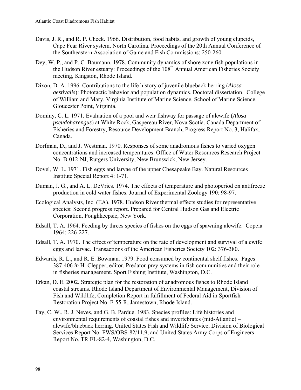- Davis, J. R., and R. P. Cheek. 1966. Distribution, food habits, and growth of young clupeids, Cape Fear River system, North Carolina. Proceedings of the 20th Annual Conference of the Southeastern Association of Game and Fish Commissions: 250-260.
- Dey, W. P., and P. C. Baumann. 1978. Community dynamics of shore zone fish populations in the Hudson River estuary: Proceedings of the 108<sup>th</sup> Annual American Fisheries Society meeting, Kingston, Rhode Island.
- Dixon, D. A. 1996. Contributions to the life history of juvenile blueback herring (*Alosa aestivalis*): Phototactic behavior and population dynamics. Doctoral dissertation. College of William and Mary, Virginia Institute of Marine Science, School of Marine Science, Gloucester Point, Virginia.
- Dominy, C. L. 1971. Evaluation of a pool and weir fishway for passage of alewife (*Alosa pseudoharengus*) at White Rock, Gaspereau River, Nova Scotia. Canada Department of Fisheries and Forestry, Resource Development Branch, Progress Report No. 3, Halifax, Canada.
- Dorfman, D., and J. Westman. 1970. Responses of some anadromous fishes to varied oxygen concentrations and increased temperatures. Office of Water Resources Research Project No. B-012-NJ, Rutgers University, New Brunswick, New Jersey.
- Dovel, W. L. 1971. Fish eggs and larvae of the upper Chesapeake Bay. Natural Resources Institute Special Report 4: 1-71.
- Duman, J. G., and A. L. DeVries. 1974. The effects of temperature and photoperiod on antifreeze production in cold water fishes. Journal of Experimental Zoology 190: 98-97.
- Ecological Analysts, Inc. (EA). 1978. Hudson River thermal effects studies for representative species: Second progress report. Prepared for Central Hudson Gas and Electric Corporation, Poughkeepsie, New York.
- Edsall, T. A. 1964. Feeding by threes species of fishes on the eggs of spawning alewife. Copeia 1964: 226-227.
- Edsall, T. A. 1970. The effect of temperature on the rate of development and survival of alewife eggs and larvae. Transactions of the American Fisheries Society 102: 376-380.
- Edwards, R. L., and R. E. Bowman. 1979. Food consumed by continental shelf fishes. Pages 387-406 *in* H. Clepper, editor. Predator-prey systems in fish communities and their role in fisheries management. Sport Fishing Institute, Washington, D.C.
- Erkan, D. E. 2002. Strategic plan for the restoration of anadromous fishes to Rhode Island coastal streams. Rhode Island Department of Environmental Management, Division of Fish and Wildlife, Completion Report in fulfillment of Federal Aid in Sportfish Restoration Project No. F-55-R, Jamestown, Rhode Island.
- Fay, C. W., R. J. Neves, and G. B. Pardue. 1983. Species profiles: Life histories and environmental requirements of coastal fishes and invertebrates (mid-Atlantic) – alewife/blueback herring. United States Fish and Wildlife Service, Division of Biological Services Report No. FWS/OBS-82/11.9, and United States Army Corps of Engineers Report No. TR EL-82-4, Washington, D.C.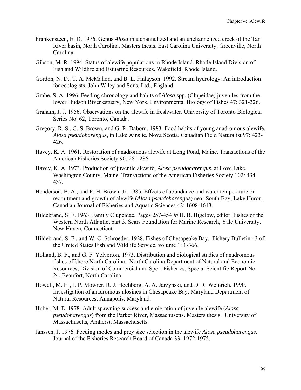- Frankensteen, E. D. 1976. Genus *Alosa* in a channelized and an unchannelized creek of the Tar River basin, North Carolina. Masters thesis. East Carolina University, Greenville, North Carolina.
- Gibson, M. R. 1994. Status of alewife populations in Rhode Island. Rhode Island Division of Fish and Wildlife and Estuarine Resources, Wakefield, Rhode Island.
- Gordon, N. D., T. A. McMahon, and B. L. Finlayson. 1992. Stream hydrology: An introduction for ecologists. John Wiley and Sons, Ltd., England.
- Grabe, S. A. 1996. Feeding chronology and habits of *Alosa* spp. (Clupeidae) juveniles from the lower Hudson River estuary, New York. Environmental Biology of Fishes 47: 321-326.
- Graham, J. J. 1956. Observations on the alewife in freshwater. University of Toronto Biological Series No. 62, Toronto, Canada.
- Gregory, R. S., G. S. Brown, and G. R. Daborn. 1983. Food habits of young anadromous alewife, *Alosa pseudoharengus*, in Lake Ainslie, Nova Scotia. Canadian Field Naturalist 97: 423- 426.
- Havey, K. A. 1961. Restoration of anadromous alewife at Long Pond, Maine. Transactions of the American Fisheries Society 90: 281-286.
- Havey, K. A. 1973. Production of juvenile alewife, *Alosa pseudoharengus*, at Love Lake, Washington County, Maine. Transactions of the American Fisheries Society 102: 434- 437.
- Henderson, B. A., and E. H. Brown, Jr. 1985. Effects of abundance and water temperature on recruitment and growth of alewife (*Alosa pseudoharengus*) near South Bay, Lake Huron. Canadian Journal of Fisheries and Aquatic Sciences 42: 1608-1613.
- Hildebrand, S. F. 1963. Family Clupeidae. Pages 257-454 *in* H. B. Bigelow, editor. Fishes of the Western North Atlantic, part 3. Sears Foundation for Marine Research, Yale University, New Haven, Connecticut.
- Hildebrand, S. F., and W. C. Schroeder. 1928. Fishes of Chesapeake Bay. Fishery Bulletin 43 of the United States Fish and Wildlife Service, volume 1: 1-366.
- Holland, B. F., and G. F. Yelverton. 1973. Distribution and biological studies of anadromous fishes offshore North Carolina. North Carolina Department of Natural and Economic Resources, Division of Commercial and Sport Fisheries, Special Scientific Report No. 24, Beaufort, North Carolina.
- Howell, M. H., J. P. Mowrer, R. J. Hochberg, A. A. Jarzynski, and D. R. Weinrich. 1990. Investigation of anadromous alosines in Chesapeake Bay. Maryland Department of Natural Resources, Annapolis, Maryland.
- Huber, M. E. 1978. Adult spawning success and emigration of juvenile alewife (*Alosa pseudoharengus*) from the Parker River, Massachusetts. Masters thesis. University of Massachusetts, Amherst, Massachusetts.
- Janssen, J. 1976. Feeding modes and prey size selection in the alewife *Alosa pseudoharengus*. Journal of the Fisheries Research Board of Canada 33: 1972-1975.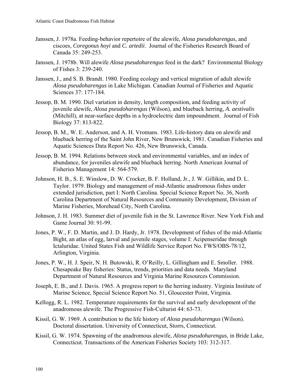- Janssen, J. 1978a. Feeding-behavior repertoire of the alewife, *Alosa pseudoharengus*, and ciscoes, *Coregonus hoyi* and *C. artedii*. Journal of the Fisheries Research Board of Canada 35: 249-253.
- Janssen, J. 1978b. Will alewife *Alosa pseudoharengus* feed in the dark? Environmental Biology of Fishes 3: 239-240.
- Janssen, J., and S. B. Brandt. 1980. Feeding ecology and vertical migration of adult alewife *Alosa pseudoharengus* in Lake Michigan. Canadian Journal of Fisheries and Aquatic Sciences 37: 177-184.
- Jessop, B. M. 1990. Diel variation in density, length composition, and feeding activity of juvenile alewife, *Alosa pseudoharengus* (Wilson), and blueback herring, *A. aestivalis* (Mitchill), at near-surface depths in a hydroelectric dam impoundment. Journal of Fish Biology 37: 813-822.
- Jessop, B. M., W. E. Anderson, and A. H. Vromans. 1983. Life-history data on alewife and blueback herring of the Saint John River, New Brunswick, 1981. Canadian Fisheries and Aquatic Sciences Data Report No. 426, New Brunswick, Canada.
- Jessop, B. M. 1994. Relations between stock and environmental variables, and an index of abundance, for juveniles alewife and blueback herring. North American Journal of Fisheries Management 14: 564-579.
- Johnson, H. B., S. E. Winslow, D. W. Crocker, B. F. Holland, Jr., J. W. Gillikin, and D. L. Taylor. 1979. Biology and management of mid-Atlantic anadromous fishes under extended jurisdiction, part I: North Carolina. Special Science Report No. 36, North Carolina Department of Natural Resources and Community Development, Division of Marine Fisheries, Morehead City, North Carolina.
- Johnson, J. H. 1983. Summer diet of juvenile fish in the St. Lawrence River. New York Fish and Game Journal 30: 91-99.
- Jones, P. W., F. D. Martin, and J. D. Hardy, Jr. 1978. Development of fishes of the mid-Atlantic Bight, an atlas of egg, larval and juvenile stages, volume I: Acipenseridae through Ictaluridae. United States Fish and Wildlife Service Report No. FWS/OBS-78/12, Arlington, Virginia.
- Jones, P. W., H. J. Speir, N. H. Butowski, R. O'Reilly, L. Gillingham and E. Smoller. 1988. Chesapeake Bay fisheries: Status, trends, priorities and data needs. Maryland Department of Natural Resources and Virginia Marine Resources Commission.
- Joseph, E. B., and J. Davis. 1965. A progress report to the herring industry. Virginia Institute of Marine Science, Special Science Report No. 51, Gloucester Point, Virginia.
- Kellogg, R. L. 1982. Temperature requirements for the survival and early development of the anadromous alewife. The Progressive Fish-Culturist 44: 63-73.
- Kissil, G. W. 1969. A contribution to the life history of *Alosa pseudoharengus* (Wilson). Doctoral dissertation. University of Connecticut, Storrs, Connecticut.
- Kissil, G. W. 1974. Spawning of the anadromous alewife, *Alosa pseudoharengus*, in Bride Lake, Connecticut. Transactions of the American Fisheries Society 103: 312-317.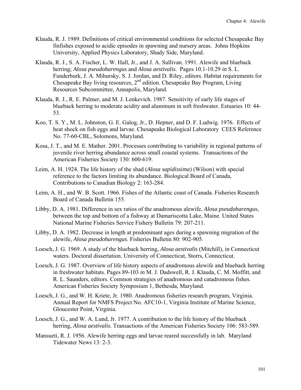- Klauda, R. J. 1989. Definitions of critical environmental conditions for selected Chesapeake Bay finfishes exposed to acidic episodes in spawning and nursery areas. Johns Hopkins University, Applied Physics Laboratory, Shady Side, Maryland.
- Klauda, R. J., S. A. Fischer, L. W. Hall, Jr., and J. A. Sullivan. 1991. Alewife and blueback herring; *Alosa pseudoharengus* and *Alosa aestivalis*. Pages 10.1-10.29 *in* S. L. Funderburk, J. A. Mihursky, S. J. Jordan, and D. Riley, editors. Habitat requirements for Chesapeake Bay living resources, 2nd edition. Chesapeake Bay Program, Living Resources Subcommittee, Annapolis, Maryland.
- Klauda, R. J., R. E. Palmer, and M. J. Lenkevich. 1987. Sensitivity of early life stages of blueback herring to moderate acidity and aluminum in soft freshwater. Estuaries 10: 44- 53.
- Koo, T. S. Y., M. L. Johnston, G. E. Galog, Jr., D. Hepner, and D. F. Ludwig. 1976. Effects of heat shock on fish eggs and larvae. Chesapeake Biological Laboratory CEES Reference No. 77-60-CBL, Solomons, Maryland.
- Kosa, J. T., and M. E. Mather. 2001. Processes contributing to variability in regional patterns of juvenile river herring abundance across small coastal systems. Transactions of the American Fisheries Society 130: 600-619.
- Leim, A. H. 1924. The life history of the shad (*Alosa sapidissima*) (Wilson) with special reference to the factors limiting its abundance. Biological Board of Canada, Contributions to Canadian Biology 2: 163-284.
- Leim, A. H., and W. B. Scott. 1966. Fishes of the Atlantic coast of Canada. Fisheries Research Board of Canada Bulletin 155.
- Libby, D. A. 1981. Difference in sex ratios of the anadromous alewife, *Alosa pseudoharengus*, between the top and bottom of a fishway at Damariscotta Lake, Maine. United States National Marine Fisheries Service Fishery Bulletin 79: 207-211.
- Libby, D. A. 1982. Decrease in length at predominant ages during a spawning migration of the alewife, *Alosa pseudoharengus*. Fisheries Bulletin 80: 902-905.
- Loesch, J. G. 1969. A study of the blueback herring, *Alosa aestivalis* (Mitchill), in Connecticut waters. Doctoral dissertation. University of Connecticut, Storrs, Connecticut.
- Loesch, J. G. 1987. Overview of life history aspects of anadromous alewife and blueback herring in freshwater habitats. Pages 89-103 *in* M. J. Dadswell, R. J. Klauda, C. M. Moffitt, and R. L. Saunders, editors. Common strategies of anadromous and catadromous fishes. American Fisheries Society Symposium 1, Bethesda, Maryland.
- Loesch, J. G., and W. H. Kriete, Jr. 1980. Anadromous fisheries research program, Virginia. Annual Report for NMFS Project No. AFC10-1, Virginia Institute of Marine Science, Gloucester Point, Virginia.
- Loesch, J. G., and W. A. Lund, Jr. 1977. A contribution to the life history of the blueback herring, *Alosa aestivalis*. Transactions of the American Fisheries Society 106: 583-589.
- Mansueti, R. J. 1956. Alewife herring eggs and larvae reared successfully in lab. Maryland Tidewater News 13: 2-3.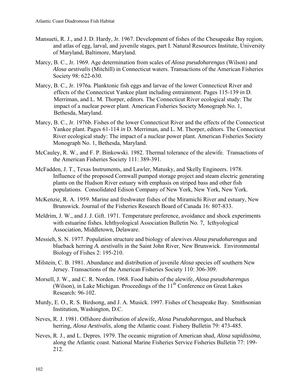- Mansueti, R. J., and J. D. Hardy, Jr. 1967. Development of fishes of the Chesapeake Bay region, and atlas of egg, larval, and juvenile stages, part I. Natural Resources Institute, University of Maryland, Baltimore, Maryland.
- Marcy, B. C., Jr. 1969. Age determination from scales of *Alosa pseudoharengus* (Wilson) and *Alosa aestivalis* (Mitchill) in Connecticut waters. Transactions of the American Fisheries Society 98: 622-630.
- Marcy, B. C., Jr. 1976a. Planktonic fish eggs and larvae of the lower Connecticut River and effects of the Connecticut Yankee plant including entrainment. Pages 115-139 *in* D. Merriman, and L. M. Thorper, editors. The Connecticut River ecological study: The impact of a nuclear power plant. American Fisheries Society Monograph No. 1, Bethesda, Maryland.
- Marcy, B. C., Jr. 1976b. Fishes of the lower Connecticut River and the effects of the Connecticut Yankee plant. Pages 61-114 *in* D. Merriman, and L. M. Thorper, editors. The Connecticut River ecological study: The impact of a nuclear power plant. American Fisheries Society Monograph No. 1, Bethesda, Maryland.
- McCauley, R. W., and F. P. Binkowski. 1982. Thermal tolerance of the alewife. Transactions of the American Fisheries Society 111: 389-391.
- McFadden, J. T., Texas Instruments, and Lawler, Matusky, and Skelly Engineers. 1978. Influence of the proposed Cornwall pumped storage project and steam electric generating plants on the Hudson River estuary with emphasis on striped bass and other fish populations. Consolidated Edison Company of New York, New York, New York.
- McKenzie, R. A. 1959. Marine and freshwater fishes of the Miramichi River and estuary, New Brunswick. Journal of the Fisheries Research Board of Canada 16: 807-833.
- Meldrim, J. W., and J. J. Gift. 1971. Temperature preference, avoidance and shock experiments with estuarine fishes. Ichthyological Association Bulletin No. 7, Icthyological Association, Middletown, Delaware.
- Messieh, S. N. 1977. Population structure and biology of alewives *Alosa pseudoharengus* and blueback herring *A. aestivalis* in the Saint John River, New Brunswick. Environmental Biology of Fishes 2: 195-210.
- Milstein, C. B. 1981. Abundance and distribution of juvenile *Alosa* species off southern New Jersey. Transactions of the American Fisheries Society 110: 306-309.
- Morsell, J. W., and C. R. Norden. 1968. Food habits of the alewife, *Alosa pseudoharengus* (Wilson), in Lake Michigan. Proceedings of the 11<sup>th</sup> Conference on Great Lakes Research: 96-102.
- Murdy, E. O., R. S. Birdsong, and J. A. Musick. 1997. Fishes of Chesapeake Bay. Smithsonian Institution, Washington, D.C.
- Neves, R. J. 1981. Offshore distribution of alewife, *Alosa Pseudoharengus*, and blueback herring, *Alosa Aestivalis*, along the Atlantic coast. Fishery Bulletin 79: 473-485.
- Neves, R. J., and L. Depres. 1979. The oceanic migration of American shad, *Alosa sapidissima*, along the Atlantic coast. National Marine Fisheries Service Fisheries Bulletin 77: 199- 212.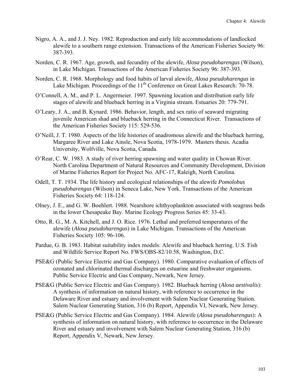- Nigro, A. A., and J. J. Ney. 1982. Reproduction and early life accommodations of landlocked alewife to a southern range extension. Transactions of the American Fisheries Society 96: 387-393.
- Norden, C. R. 1967. Age, growth, and fecundity of the alewife, *Alosa pseudoharengus* (Wilson), in Lake Michigan. Transactions of the American Fisheries Society 96: 387-393.
- Norden, C. R. 1968. Morphology and food habits of larval alewife, *Alosa pseudoharengus* in Lake Michigan. Proceedings of the 11<sup>th</sup> Conference on Great Lakes Research: 70-78.
- O'Connell, A. M., and P. L. Angermeier. 1997. Spawning location and distribution early life stages of alewife and blueback herring in a Virginia stream. Estuaries 20: 779-791.
- O'Leary, J. A., and B. Kynard. 1986. Behavior, length, and sex ratio of seaward migrating juvenile American shad and blueback herring in the Connecticut River. Transactions of the American Fisheries Society 115: 529-536.
- O'Neill, J. T. 1980. Aspects of the life histories of anadromous alewife and the blueback herring, Margaree River and Lake Ainsle, Nova Scotia, 1978-1979. Masters thesis. Acadia University, Wolfville, Nova Scotia, Canada.
- O'Rear, C. W. 1983. A study of river herring spawning and water quality in Chowan River. North Carolina Department of Natural Resources and Community Development, Division of Marine Fisheries Report for Project No. AFC-17, Raleigh, North Carolina.
- Odell, T. T. 1934. The life history and ecological relationships of the alewife *Pomolobus pseudoharengus* (Wilson) in Seneca Lake, New York. Transactions of the American Fisheries Society 64: 118-124.
- Olney, J. E., and G. W. Boehlert. 1988. Nearshore ichthyoplankton associated with seagrass beds in the lower Chesapeake Bay. Marine Ecology Progress Series 45: 33-43.
- Otto, R. G., M. A. Kitchell, and J. O. Rice. 1976. Lethal and preferred temperatures of the alewife (*Alosa pseudoharengus*) in Lake Michigan. Transactions of the American Fisheries Society 105: 96-106.
- Pardue, G. B. 1983. Habitat suitability index models: Alewife and blueback herring. U.S. Fish and Wildlife Service Report No. FWS/OBS-82/10.58, Washington, D.C.
- PSE&G (Public Service Electric and Gas Company). 1980. Comparative evaluation of effects of ozonated and chlorinated thermal discharges on estuarine and freshwater organisms. Public Service Electric and Gas Company, Newark, New Jersey.
- PSE&G (Public Service Electric and Gas Company). 1982. Blueback herring (*Alosa aestivalis*): A synthesis of information on natural history, with reference to occurrence in the Delaware River and estuary and involvement with Salem Nuclear Generating Station. Salem Nuclear Generating Station, 316 (b) Report, Appendix VI, Newark, New Jersey.
- PSE&G (Public Service Electric and Gas Company). 1984. Alewife (*Alosa pseudoharengus*): A synthesis of information on natural history, with reference to occurrence in the Delaware River and estuary and involvement with Salem Nuclear Generating Station, 316 (b) Report, Appendix V, Newark, New Jersey.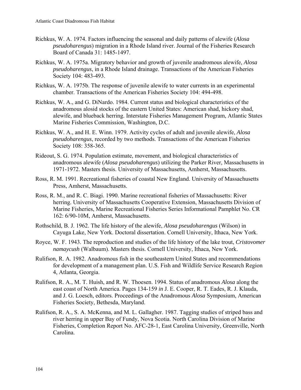- Richkus, W. A. 1974. Factors influencing the seasonal and daily patterns of alewife (*Alosa pseudoharengus*) migration in a Rhode Island river. Journal of the Fisheries Research Board of Canada 31: 1485-1497.
- Richkus, W. A. 1975a. Migratory behavior and growth of juvenile anadromous alewife, *Alosa pseudoharengus*, in a Rhode Island drainage. Transactions of the American Fisheries Society 104: 483-493.
- Richkus, W. A. 1975b. The response of juvenile alewife to water currents in an experimental chamber. Transactions of the American Fisheries Society 104: 494-498.
- Richkus, W. A., and G. DiNardo. 1984. Current status and biological characteristics of the anadromous alosid stocks of the eastern United States: American shad, hickory shad, alewife, and blueback herring. Interstate Fisheries Management Program, Atlantic States Marine Fisheries Commission, Washington, D.C.
- Richkus, W. A., and H. E. Winn. 1979. Activity cycles of adult and juvenile alewife, *Alosa pseudoharengus*, recorded by two methods. Transactions of the American Fisheries Society 108: 358-365.
- Rideout, S. G. 1974. Population estimate, movement, and biological characteristics of anadromous alewife (*Alosa pseudoharengus*) utilizing the Parker River, Massachusetts in 1971-1972. Masters thesis. University of Massachusetts, Amherst, Massachusetts.
- Ross, R. M. 1991. Recreational fisheries of coastal New England. University of Massachusetts Press, Amherst, Massachusetts.
- Ross, R. M., and R. C. Biagi. 1990. Marine recreational fisheries of Massachusetts: River herring. University of Massachusetts Cooperative Extension, Massachusetts Division of Marine Fisheries, Marine Recreational Fisheries Series Informational Pamphlet No. CR 162: 6/90-10M, Amherst, Massachusetts.
- Rothschild, B. J. 1962. The life history of the alewife, *Alosa pseudoharengus* (Wilson) in Cayuga Lake, New York. Doctoral dissertation. Cornell University, Ithaca, New York.
- Royce, W. F. 1943. The reproduction and studies of the life history of the lake trout, *Cristovomer namaycush* (Walbaum). Masters thesis. Cornell University, Ithaca, New York.
- Rulifson, R. A. 1982. Anadromous fish in the southeastern United States and recommendations for development of a management plan. U.S. Fish and Wildlife Service Research Region 4, Atlanta, Georgia.
- Rulifson, R. A., M. T. Huish, and R. W. Thoesen. 1994. Status of anadromous *Alosa* along the east coast of North America. Pages 134-159 *in* J. E. Cooper, R. T. Eades, R. J. Klauda, and J. G. Loesch, editors. Proceedings of the Anadromous *Alosa* Symposium, American Fisheries Society, Bethesda, Maryland.
- Rulifson, R. A., S. A. McKenna, and M. L. Gallagher. 1987. Tagging studies of striped bass and river herring in upper Bay of Fundy, Nova Scotia. North Carolina Division of Marine Fisheries, Completion Report No. AFC-28-1, East Carolina University, Greenville, North Carolina.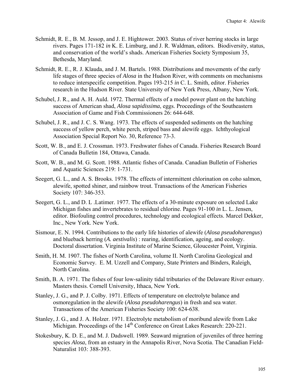- Schmidt, R. E., B. M. Jessop, and J. E. Hightower. 2003. Status of river herring stocks in large rivers. Pages 171-182 *in* K. E. Limburg, and J. R. Waldman, editors. Biodiversity, status, and conservation of the world's shads. American Fisheries Society Symposium 35, Bethesda, Maryland.
- Schmidt, R. E., R. J. Klauda, and J. M. Bartels. 1988. Distributions and movements of the early life stages of three species of *Alosa* in the Hudson River, with comments on mechanisms to reduce interspecific competition. Pages 193-215 *in* C. L. Smith, editor. Fisheries research in the Hudson River. State University of New York Press, Albany, New York.
- Schubel, J. R., and A. H. Auld. 1972. Thermal effects of a model power plant on the hatching success of American shad, *Alosa sapidissima*, eggs. Proceedings of the Southeastern Association of Game and Fish Commissioners 26: 644-648.
- Schubel, J. R., and J. C. S. Wang. 1973. The effects of suspended sediments on the hatching success of yellow perch, white perch, striped bass and alewife eggs. Ichthyological Association Special Report No. 30, Reference 73-3.
- Scott, W. B., and E. J. Crossman. 1973. Freshwater fishes of Canada. Fisheries Research Board of Canada Bulletin 184, Ottawa, Canada.
- Scott, W. B., and M. G. Scott. 1988. Atlantic fishes of Canada. Canadian Bulletin of Fisheries and Aquatic Sciences 219: 1-731.
- Seegert, G. L., and A. S. Brooks. 1978. The effects of intermittent chlorination on coho salmon, alewife, spotted shiner, and rainbow trout. Transactions of the American Fisheries Society 107: 346-353.
- Seegert, G. L., and D. L .Latimer. 1977. The effects of a 30-minute exposure on selected Lake Michigan fishes and invertebrates to residual chlorine. Pages 91-100 *in* L. L. Jensen, editor. Biofouling control procedures, technology and ecological effects. Marcel Dekker, Inc., New York. New York.
- Sismour, E. N. 1994. Contributions to the early life histories of alewife (*Alosa pseudoharengus*) and blueback herring (*A. aestivalis*) : rearing, identification, ageing, and ecology. Doctoral dissertation. Virginia Institute of Marine Science, Gloucester Point, Virginia.
- Smith, H. M. 1907. The fishes of North Carolina, volume II. North Carolina Geological and Economic Survey. E. M. Uzzell and Company, State Printers and Binders, Raleigh, North Carolina.
- Smith, B. A. 1971. The fishes of four low-salinity tidal tributaries of the Delaware River estuary. Masters thesis. Cornell University, Ithaca, New York.
- Stanley, J. G., and P. J. Colby. 1971. Effects of temperature on electrolyte balance and osmoregulation in the alewife (*Alosa pseudoharengus*) in fresh and sea water. Transactions of the American Fisheries Society 100: 624-638.
- Stanley, J. G., and J. A. Holzer. 1971. Electrolyte metabolism of moribund alewife from Lake Michigan. Proceedings of the  $14<sup>th</sup>$  Conference on Great Lakes Research: 220-221.
- Stokesbury, K. D. E., and M. J. Dadswell. 1989. Seaward migration of juveniles of three herring species *Alosa*, from an estuary in the Annapolis River, Nova Scotia. The Canadian Field-Naturalist 103: 388-393.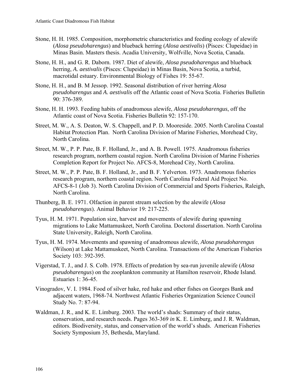- Stone, H. H. 1985. Composition, morphometric characteristics and feeding ecology of alewife (*Alosa pseudoharengus*) and blueback herring (*Alosa aestivalis*) (Pisces: Clupeidae) in Minas Basin. Masters thesis. Acadia University, Wolfville, Nova Scotia, Canada.
- Stone, H. H., and G. R. Daborn. 1987. Diet of alewife, *Alosa pseudoharengus* and blueback herring, *A. aestivalis* (Pisces: Clupeidae) in Minas Basin, Nova Scotia, a turbid, macrotidal estuary. Environmental Biology of Fishes 19: 55-67.
- Stone, H. H., and B. M Jessop. 1992. Seasonal distribution of river herring *Alosa pseudoharengus* and *A. aestivalis* off the Atlantic coast of Nova Scotia. Fisheries Bulletin 90: 376-389.
- Stone, H. H. 1993. Feeding habits of anadromous alewife, *Alosa pseudoharengus*, off the Atlantic coast of Nova Scotia. Fisheries Bulletin 92: 157-170.
- Street, M. W., A. S. Deaton, W. S. Chappell, and P. D. Mooreside. 2005. North Carolina Coastal Habitat Protection Plan. North Carolina Division of Marine Fisheries, Morehead City, North Carolina.
- Street, M. W., P. P. Pate, B. F. Holland, Jr., and A. B. Powell. 1975. Anadromous fisheries research program, northern coastal region. North Carolina Division of Marine Fisheries Completion Report for Project No. AFCS-8, Morehead City, North Carolina.
- Street, M. W., P. P. Pate, B. F. Holland, Jr., and B. F. Yelverton. 1973. Anadromous fisheries research program, northern coastal region. North Carolina Federal Aid Project No. AFCS-8-1 (Job 3). North Carolina Division of Commercial and Sports Fisheries, Raleigh, North Carolina.
- Thunberg, B. E. 1971. Olfaction in parent stream selection by the alewife (*Alosa pseudoharengus*). Animal Behavior 19: 217-225.
- Tyus, H. M. 1971. Population size, harvest and movements of alewife during spawning migrations to Lake Mattamuskeet, North Carolina. Doctoral dissertation. North Carolina State University, Raleigh, North Carolina.
- Tyus, H. M. 1974. Movements and spawning of anadromous alewife, *Alosa pseudoharengus* (Wilson) at Lake Mattamuskeet, North Carolina. Transactions of the American Fisheries Society 103: 392-395.
- Vigerstad, T. J., and J. S. Colb. 1978. Effects of predation by sea-run juvenile alewife (*Alosa pseudoharengus*) on the zooplankton community at Hamilton reservoir, Rhode Island. Estuaries 1: 36-45.
- Vinogradov, V. I. 1984. Food of silver hake, red hake and other fishes on Georges Bank and adjacent waters, 1968-74. Northwest Atlantic Fisheries Organization Science Council Study No. 7: 87-94.
- Waldman, J. R., and K. E. Limburg. 2003. The world's shads: Summary of their status, conservation, and research needs. Pages 363-369 *in* K. E. Limburg, and J. R. Waldman, editors. Biodiversity, status, and conservation of the world's shads. American Fisheries Society Symposium 35, Bethesda, Maryland.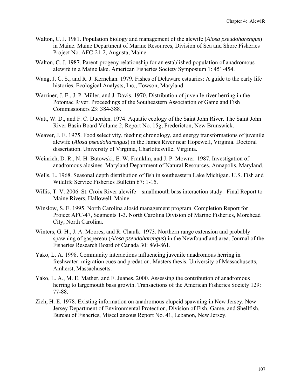- Walton, C. J. 1981. Population biology and management of the alewife (*Alosa pseudoharengus*) in Maine. Maine Department of Marine Resources, Division of Sea and Shore Fisheries Project No. AFC-21-2, Augusta, Maine.
- Walton, C. J. 1987. Parent-progeny relationship for an established population of anadromous alewife in a Maine lake. American Fisheries Society Symposium 1: 451-454.
- Wang, J. C. S., and R. J. Kernehan. 1979. Fishes of Delaware estuaries: A guide to the early life histories. Ecological Analysts, Inc., Towson, Maryland.
- Warriner, J. E., J. P. Miller, and J. Davis. 1970. Distribution of juvenile river herring in the Potomac River. Proceedings of the Southeastern Association of Game and Fish Commissioners 23: 384-388.
- Watt, W. D., and F. C. Duerden. 1974. Aquatic ecology of the Saint John River. The Saint John River Basin Board Volume 2, Report No. 15g, Fredericton, New Brunswick.
- Weaver, J. E. 1975. Food selectivity, feeding chronology, and energy transformations of juvenile alewife (*Alosa pseudoharengus*) in the James River near Hopewell, Virginia. Doctoral dissertation. University of Virginia, Charlottesville, Virginia.
- Weinrich, D. R., N. H. Butowski, E. W. Franklin, and J. P. Mowrer. 1987. Investigation of anadromous alosines. Maryland Department of Natural Resources, Annapolis, Maryland.
- Wells, L. 1968. Seasonal depth distribution of fish in southeastern Lake Michigan. U.S. Fish and Wildlife Service Fisheries Bulletin 67: 1-15.
- Willis, T. V. 2006. St. Croix River alewife smallmouth bass interaction study. Final Report to Maine Rivers, Hallowell, Maine.
- Winslow, S. E. 1995. North Carolina alosid management program. Completion Report for Project AFC-47, Segments 1-3. North Carolina Division of Marine Fisheries, Morehead City, North Carolina.
- Winters, G. H., J. A. Moores, and R. Chaulk. 1973. Northern range extension and probably spawning of gaspereau (*Alosa pseudoharengus*) in the Newfoundland area. Journal of the Fisheries Research Board of Canada 30: 860-861.
- Yako, L. A. 1998. Community interactions influencing juvenile anadromous herring in freshwater: migration cues and predation. Masters thesis. University of Massachusetts, Amherst, Massachusetts.
- Yako, L. A., M. E. Mather, and F. Juanes. 2000. Assessing the contribution of anadromous herring to largemouth bass growth. Transactions of the American Fisheries Society 129: 77-88.
- Zich, H. E. 1978. Existing information on anadromous clupeid spawning in New Jersey. New Jersey Department of Environmental Protection, Division of Fish, Game, and Shellfish, Bureau of Fisheries, Miscellaneous Report No. 41, Lebanon, New Jersey.